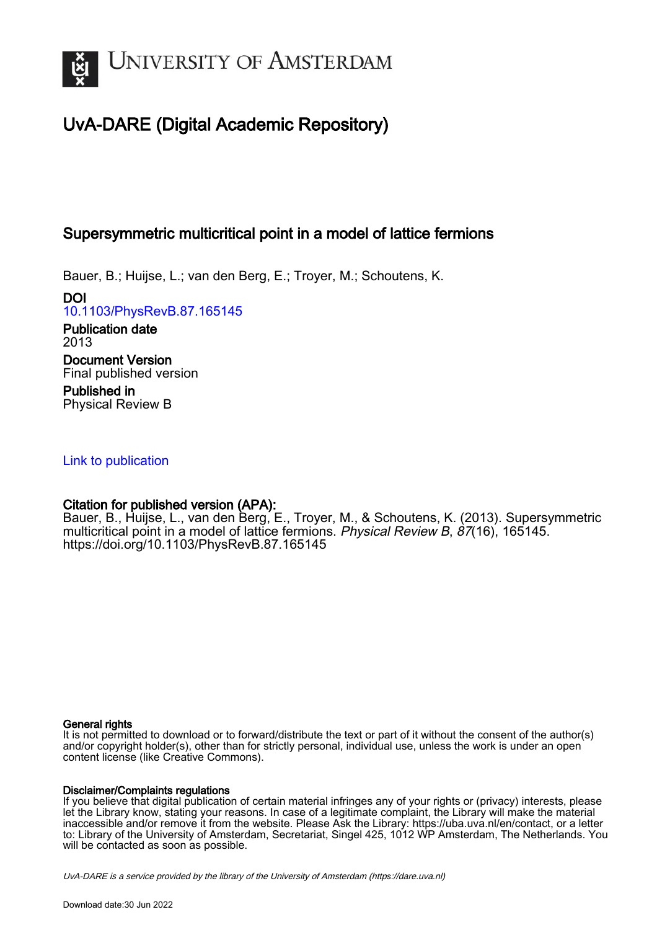

# UvA-DARE (Digital Academic Repository)

# Supersymmetric multicritical point in a model of lattice fermions

Bauer, B.; Huijse, L.; van den Berg, E.; Troyer, M.; Schoutens, K.

DOI [10.1103/PhysRevB.87.165145](https://doi.org/10.1103/PhysRevB.87.165145)

Publication date 2013 Document Version Final published version

Published in Physical Review B

## [Link to publication](https://dare.uva.nl/personal/pure/en/publications/supersymmetric-multicritical-point-in-a-model-of-lattice-fermions(9f0d75a6-513b-4ae5-8bf0-16635e21ed80).html)

## Citation for published version (APA):

Bauer, B., Huijse, L., van den Berg, E., Troyer, M., & Schoutens, K. (2013). Supersymmetric multicritical point in a model of lattice fermions. Physical Review B,  $\frac{8}{7}(16)$ , 165145. <https://doi.org/10.1103/PhysRevB.87.165145>

## General rights

It is not permitted to download or to forward/distribute the text or part of it without the consent of the author(s) and/or copyright holder(s), other than for strictly personal, individual use, unless the work is under an open content license (like Creative Commons).

## Disclaimer/Complaints regulations

If you believe that digital publication of certain material infringes any of your rights or (privacy) interests, please let the Library know, stating your reasons. In case of a legitimate complaint, the Library will make the material inaccessible and/or remove it from the website. Please Ask the Library: https://uba.uva.nl/en/contact, or a letter to: Library of the University of Amsterdam, Secretariat, Singel 425, 1012 WP Amsterdam, The Netherlands. You will be contacted as soon as possible.

UvA-DARE is a service provided by the library of the University of Amsterdam (http*s*://dare.uva.nl)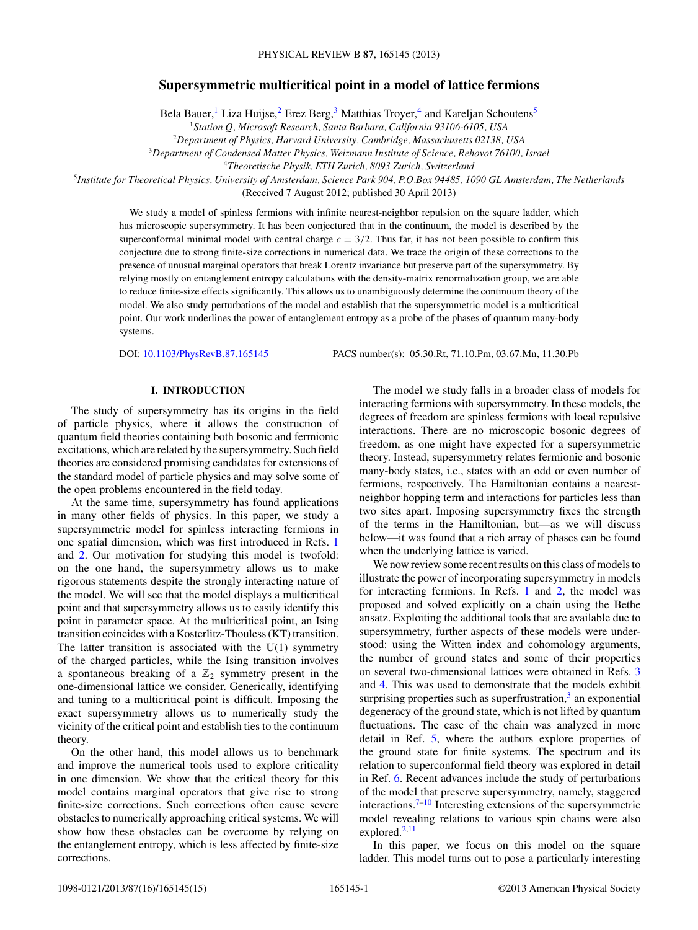## **Supersymmetric multicritical point in a model of lattice fermions**

Bela Bauer,<sup>1</sup> Liza Huijse,<sup>2</sup> Erez Berg,<sup>3</sup> Matthias Troyer,<sup>4</sup> and Kareljan Schoutens<sup>5</sup>

<sup>1</sup>*Station Q, Microsoft Research, Santa Barbara, California 93106-6105, USA*

<sup>2</sup>*Department of Physics, Harvard University, Cambridge, Massachusetts 02138, USA*

<sup>3</sup>*Department of Condensed Matter Physics, Weizmann Institute of Science, Rehovot 76100, Israel*

<sup>4</sup>*Theoretische Physik, ETH Zurich, 8093 Zurich, Switzerland*

<sup>5</sup>*Institute for Theoretical Physics, University of Amsterdam, Science Park 904, P.O.Box 94485, 1090 GL Amsterdam, The Netherlands* (Received 7 August 2012; published 30 April 2013)

We study a model of spinless fermions with infinite nearest-neighbor repulsion on the square ladder, which has microscopic supersymmetry. It has been conjectured that in the continuum, the model is described by the superconformal minimal model with central charge  $c = 3/2$ . Thus far, it has not been possible to confirm this conjecture due to strong finite-size corrections in numerical data. We trace the origin of these corrections to the presence of unusual marginal operators that break Lorentz invariance but preserve part of the supersymmetry. By relying mostly on entanglement entropy calculations with the density-matrix renormalization group, we are able to reduce finite-size effects significantly. This allows us to unambiguously determine the continuum theory of the model. We also study perturbations of the model and establish that the supersymmetric model is a multicritical point. Our work underlines the power of entanglement entropy as a probe of the phases of quantum many-body systems.

DOI: [10.1103/PhysRevB.87.165145](http://dx.doi.org/10.1103/PhysRevB.87.165145) PACS number(s): 05*.*30*.*Rt, 71*.*10*.*Pm, 03*.*67*.*Mn, 11*.*30*.*Pb

## **I. INTRODUCTION**

The study of supersymmetry has its origins in the field of particle physics, where it allows the construction of quantum field theories containing both bosonic and fermionic excitations, which are related by the supersymmetry. Such field theories are considered promising candidates for extensions of the standard model of particle physics and may solve some of the open problems encountered in the field today.

At the same time, supersymmetry has found applications in many other fields of physics. In this paper, we study a supersymmetric model for spinless interacting fermions in one spatial dimension, which was first introduced in Refs. [1](#page-14-0) and [2.](#page-14-0) Our motivation for studying this model is twofold: on the one hand, the supersymmetry allows us to make rigorous statements despite the strongly interacting nature of the model. We will see that the model displays a multicritical point and that supersymmetry allows us to easily identify this point in parameter space. At the multicritical point, an Ising transition coincides with a Kosterlitz-Thouless (KT) transition. The latter transition is associated with the  $U(1)$  symmetry of the charged particles, while the Ising transition involves a spontaneous breaking of a  $\mathbb{Z}_2$  symmetry present in the one-dimensional lattice we consider. Generically, identifying and tuning to a multicritical point is difficult. Imposing the exact supersymmetry allows us to numerically study the vicinity of the critical point and establish ties to the continuum theory.

On the other hand, this model allows us to benchmark and improve the numerical tools used to explore criticality in one dimension. We show that the critical theory for this model contains marginal operators that give rise to strong finite-size corrections. Such corrections often cause severe obstacles to numerically approaching critical systems. We will show how these obstacles can be overcome by relying on the entanglement entropy, which is less affected by finite-size corrections.

The model we study falls in a broader class of models for interacting fermions with supersymmetry. In these models, the degrees of freedom are spinless fermions with local repulsive interactions. There are no microscopic bosonic degrees of freedom, as one might have expected for a supersymmetric theory. Instead, supersymmetry relates fermionic and bosonic many-body states, i.e., states with an odd or even number of fermions, respectively. The Hamiltonian contains a nearestneighbor hopping term and interactions for particles less than two sites apart. Imposing supersymmetry fixes the strength of the terms in the Hamiltonian, but—as we will discuss below—it was found that a rich array of phases can be found when the underlying lattice is varied.

We now review some recent results on this class of models to illustrate the power of incorporating supersymmetry in models for interacting fermions. In Refs. [1](#page-14-0) and [2,](#page-14-0) the model was proposed and solved explicitly on a chain using the Bethe ansatz. Exploiting the additional tools that are available due to supersymmetry, further aspects of these models were understood: using the Witten index and cohomology arguments, the number of ground states and some of their properties on several two-dimensional lattices were obtained in Refs. [3](#page-14-0) and [4.](#page-14-0) This was used to demonstrate that the models exhibit surprising properties such as superfrustration, $3$  an exponential degeneracy of the ground state, which is not lifted by quantum fluctuations. The case of the chain was analyzed in more detail in Ref. [5,](#page-14-0) where the authors explore properties of the ground state for finite systems. The spectrum and its relation to superconformal field theory was explored in detail in Ref. [6.](#page-14-0) Recent advances include the study of perturbations of the model that preserve supersymmetry, namely, staggered interactions.<sup>[7–10](#page-14-0)</sup> Interesting extensions of the supersymmetric model revealing relations to various spin chains were also explored. $2,11$ 

In this paper, we focus on this model on the square ladder. This model turns out to pose a particularly interesting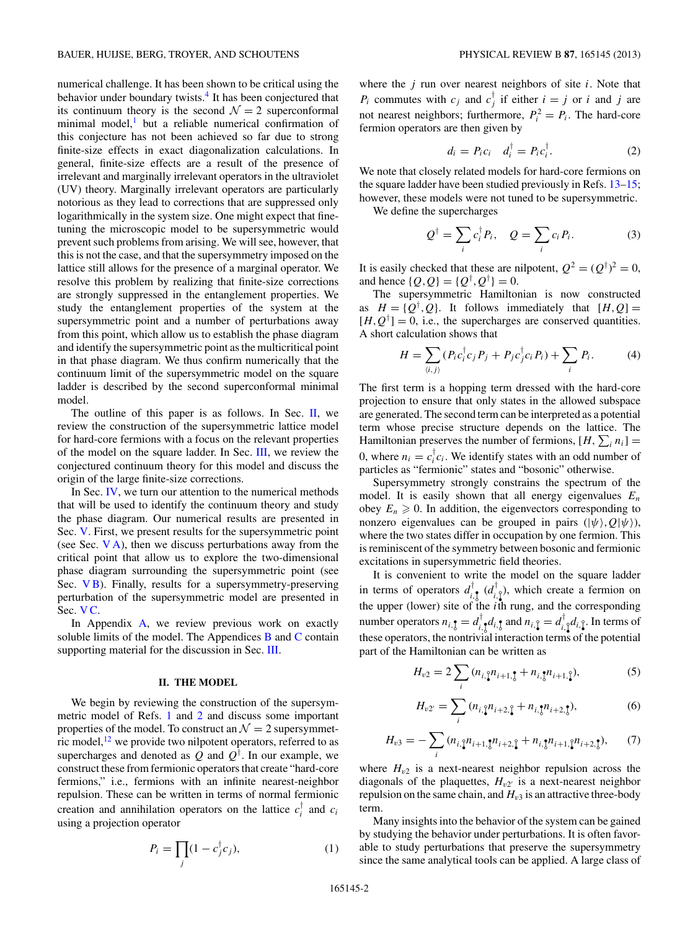<span id="page-2-0"></span>numerical challenge. It has been shown to be critical using the behavior under boundary twists.<sup>4</sup> It has been conjectured that its continuum theory is the second  $\mathcal{N} = 2$  superconformal minimal model, $\frac{1}{1}$  $\frac{1}{1}$  $\frac{1}{1}$  but a reliable numerical confirmation of this conjecture has not been achieved so far due to strong finite-size effects in exact diagonalization calculations. In general, finite-size effects are a result of the presence of irrelevant and marginally irrelevant operators in the ultraviolet (UV) theory. Marginally irrelevant operators are particularly notorious as they lead to corrections that are suppressed only logarithmically in the system size. One might expect that finetuning the microscopic model to be supersymmetric would prevent such problems from arising. We will see, however, that this is not the case, and that the supersymmetry imposed on the lattice still allows for the presence of a marginal operator. We resolve this problem by realizing that finite-size corrections are strongly suppressed in the entanglement properties. We study the entanglement properties of the system at the supersymmetric point and a number of perturbations away from this point, which allow us to establish the phase diagram and identify the supersymmetric point as the multicritical point in that phase diagram. We thus confirm numerically that the continuum limit of the supersymmetric model on the square ladder is described by the second superconformal minimal model.

The outline of this paper is as follows. In Sec.  $\Pi$ , we review the construction of the supersymmetric lattice model for hard-core fermions with a focus on the relevant properties of the model on the square ladder. In Sec. [III,](#page-3-0) we review the conjectured continuum theory for this model and discuss the origin of the large finite-size corrections.

In Sec. [IV,](#page-5-0) we turn our attention to the numerical methods that will be used to identify the continuum theory and study the phase diagram. Our numerical results are presented in Sec. [V.](#page-6-0) First, we present results for the supersymmetric point (see Sec.  $V$ A), then we discuss perturbations away from the critical point that allow us to explore the two-dimensional phase diagram surrounding the supersymmetric point (see Sec. VB). Finally, results for a supersymmetry-preserving perturbation of the supersymmetric model are presented in Sec. V<sub>C</sub>.

In Appendix [A,](#page-12-0) we review previous work on exactly soluble limits of the model. The Appendices  $\bf{B}$  $\bf{B}$  $\bf{B}$  and  $\bf{C}$  $\bf{C}$  $\bf{C}$  contain supporting material for the discussion in Sec. [III.](#page-3-0)

#### **II. THE MODEL**

We begin by reviewing the construction of the supersymmetric model of Refs. [1](#page-14-0) and [2](#page-14-0) and discuss some important properties of the model. To construct an  $\mathcal{N} = 2$  supersymmetric model, $12$  we provide two nilpotent operators, referred to as supercharges and denoted as *Q* and *Q*† . In our example, we construct these from fermionic operators that create "hard-core fermions," i.e., fermions with an infinite nearest-neighbor repulsion. These can be written in terms of normal fermionic creation and annihilation operators on the lattice  $c_i^{\dagger}$  and  $c_i$ using a projection operator

$$
P_i = \prod_j (1 - c_j^{\dagger} c_j), \tag{1}
$$

where the *j* run over nearest neighbors of site *i*. Note that *P<sub>i</sub>* commutes with  $c_j$  and  $c_j^{\dagger}$  if either  $i = j$  or *i* and *j* are not nearest neighbors; furthermore,  $P_i^2 = P_i$ . The hard-core fermion operators are then given by

$$
d_i = P_i c_i \quad d_i^{\mathsf{T}} = P_i c_i^{\mathsf{T}}.
$$

We note that closely related models for hard-core fermions on the square ladder have been studied previously in Refs. [13–15;](#page-14-0) however, these models were not tuned to be supersymmetric.

We define the supercharges

$$
Q^{\dagger} = \sum_{i} c_i^{\dagger} P_i, \quad Q = \sum_{i} c_i P_i.
$$
 (3)

It is easily checked that these are nilpotent,  $Q^2 = (Q^{\dagger})^2 = 0$ , and hence  $\{Q, Q\} = \{Q^{\dagger}, Q^{\dagger}\} = 0.$ 

The supersymmetric Hamiltonian is now constructed as  $H = \{Q^{\dagger}, Q\}$ . It follows immediately that  $[H, Q] =$  $[H, Q^{\dagger}] = 0$ , i.e., the supercharges are conserved quantities. A short calculation shows that

$$
H = \sum_{\langle i,j \rangle} (P_i c_i^{\dagger} c_j P_j + P_j c_j^{\dagger} c_i P_i) + \sum_i P_i.
$$
 (4)

The first term is a hopping term dressed with the hard-core projection to ensure that only states in the allowed subspace are generated. The second term can be interpreted as a potential term whose precise structure depends on the lattice. The Hamiltonian preserves the number of fermions,  $[H, \sum_i n_i] =$ 0, where  $n_i = c_i^{\dagger} c_i$ . We identify states with an odd number of particles as "fermionic" states and "bosonic" otherwise.

Supersymmetry strongly constrains the spectrum of the model. It is easily shown that all energy eigenvalues *En* obey  $E_n \geq 0$ . In addition, the eigenvectors corresponding to nonzero eigenvalues can be grouped in pairs  $(|\psi\rangle, Q|\psi\rangle)$ , where the two states differ in occupation by one fermion. This is reminiscent of the symmetry between bosonic and fermionic excitations in supersymmetric field theories.

It is convenient to write the model on the square ladder in terms of operators  $d_{i,\ell}^{\dagger}$  ( $d_{i,\ell}^{\dagger}$ ), which create a fermion on the upper (lower) site of the *i*th rung, and the corresponding number operators  $n_{i,\xi} = d_{i,\xi}^{\dagger} d_{i,\xi}$  and  $n_{i,\xi} = d_{i,\xi}^{\dagger} d_{i,\xi}$ . In terms of these operators, the nontrivial interaction terms of the potential part of the Hamiltonian can be written as

$$
H_{v2} = 2\sum_{i} (n_{i,\hat{\mathbf{j}}} n_{i+1,\hat{\mathbf{J}}} + n_{i,\hat{\mathbf{J}}} n_{i+1,\hat{\mathbf{j}}}),
$$
 (5)

$$
H_{\nu 2'} = \sum_{i} (n_{i,\hat{\mathbf{j}}} n_{i+2,\hat{\mathbf{j}}} + n_{i,\hat{\mathbf{J}}} n_{i+2,\hat{\mathbf{J}}}),
$$
(6)

$$
H_{\nu 3} = -\sum_{i} (n_{i,\hat{\xi}} n_{i+1,\xi} n_{i+2,\hat{\xi}} + n_{i,\xi} n_{i+1,\hat{\xi}} n_{i+2,\xi}), \tag{7}
$$

where  $H_{\nu 2}$  is a next-nearest neighbor repulsion across the diagonals of the plaquettes,  $H_{v2}$  is a next-nearest neighbor repulsion on the same chain, and  $H_{\nu 3}$  is an attractive three-body term.

Many insights into the behavior of the system can be gained by studying the behavior under perturbations. It is often favorable to study perturbations that preserve the supersymmetry since the same analytical tools can be applied. A large class of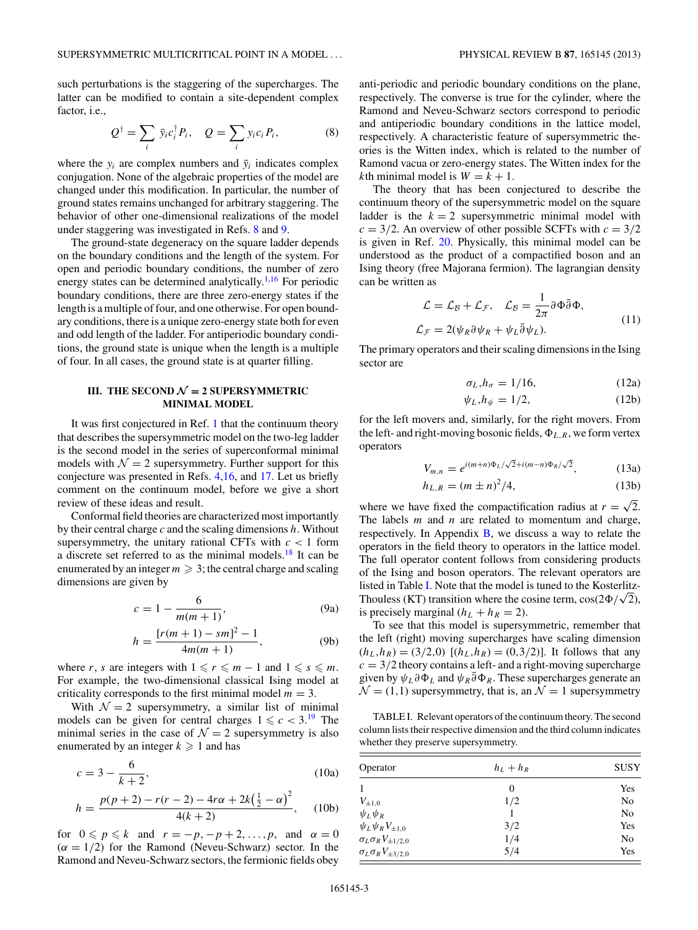<span id="page-3-0"></span>such perturbations is the staggering of the supercharges. The latter can be modified to contain a site-dependent complex factor, i.e.,

$$
Q^{\dagger} = \sum_{i} \bar{y}_i c_i^{\dagger} P_i, \quad Q = \sum_{i} y_i c_i P_i,
$$
 (8)

where the  $y_i$  are complex numbers and  $\bar{y}_i$  indicates complex conjugation. None of the algebraic properties of the model are changed under this modification. In particular, the number of ground states remains unchanged for arbitrary staggering. The behavior of other one-dimensional realizations of the model under staggering was investigated in Refs. [8](#page-14-0) and [9.](#page-14-0)

The ground-state degeneracy on the square ladder depends on the boundary conditions and the length of the system. For open and periodic boundary conditions, the number of zero energy states can be determined analytically. $1,16$  For periodic boundary conditions, there are three zero-energy states if the length is a multiple of four, and one otherwise. For open boundary conditions, there is a unique zero-energy state both for even and odd length of the ladder. For antiperiodic boundary conditions, the ground state is unique when the length is a multiple of four. In all cases, the ground state is at quarter filling.

## **III. THE SECOND**  $\mathcal{N} = 2$  **SUPERSYMMETRIC MINIMAL MODEL**

It was first conjectured in Ref. [1](#page-14-0) that the continuum theory that describes the supersymmetric model on the two-leg ladder is the second model in the series of superconformal minimal models with  $\mathcal{N} = 2$  supersymmetry. Further support for this conjecture was presented in Refs. [4,16,](#page-14-0) and [17.](#page-14-0) Let us briefly comment on the continuum model, before we give a short review of these ideas and result.

Conformal field theories are characterized most importantly by their central charge *c* and the scaling dimensions *h*. Without supersymmetry, the unitary rational CFTs with  $c < 1$  form a discrete set referred to as the minimal models.<sup>[18](#page-14-0)</sup> It can be enumerated by an integer  $m \geqslant 3$ ; the central charge and scaling dimensions are given by

$$
c = 1 - \frac{6}{m(m+1)},
$$
 (9a)

$$
h = \frac{[r(m+1) - sm]^2 - 1}{4m(m+1)},
$$
 (9b)

where *r*, *s* are integers with  $1 \le r \le m - 1$  and  $1 \le s \le m$ . For example, the two-dimensional classical Ising model at criticality corresponds to the first minimal model  $m = 3$ .

With  $\mathcal{N} = 2$  supersymmetry, a similar list of minimal models can be given for central charges  $1 \leq c < 3$ .<sup>19</sup> The minimal series in the case of  $\mathcal{N} = 2$  supersymmetry is also enumerated by an integer  $k \geqslant 1$  and has

$$
c = 3 - \frac{6}{k+2},
$$
 (10a)

$$
h = \frac{p(p+2) - r(r-2) - 4r\alpha + 2k(\frac{1}{2} - \alpha)^2}{4(k+2)},
$$
 (10b)

for  $0 \leq p \leq k$  and  $r = -p, -p + 2, \ldots, p$ , and  $\alpha = 0$  $(\alpha = 1/2)$  for the Ramond (Neveu-Schwarz) sector. In the Ramond and Neveu-Schwarz sectors, the fermionic fields obey

anti-periodic and periodic boundary conditions on the plane, respectively. The converse is true for the cylinder, where the Ramond and Neveu-Schwarz sectors correspond to periodic and antiperiodic boundary conditions in the lattice model, respectively. A characteristic feature of supersymmetric theories is the Witten index, which is related to the number of Ramond vacua or zero-energy states. The Witten index for the *k*th minimal model is  $W = k + 1$ .

The theory that has been conjectured to describe the continuum theory of the supersymmetric model on the square ladder is the  $k = 2$  supersymmetric minimal model with  $c = 3/2$ . An overview of other possible SCFTs with  $c = 3/2$ is given in Ref. [20.](#page-14-0) Physically, this minimal model can be understood as the product of a compactified boson and an Ising theory (free Majorana fermion). The lagrangian density can be written as

$$
\mathcal{L} = \mathcal{L}_{\mathcal{B}} + \mathcal{L}_{\mathcal{F}}, \quad \mathcal{L}_{\mathcal{B}} = \frac{1}{2\pi} \partial \Phi \bar{\partial} \Phi,
$$
  

$$
\mathcal{L}_{\mathcal{F}} = 2(\psi_R \partial \psi_R + \psi_L \bar{\partial} \psi_L).
$$
 (11)

The primary operators and their scaling dimensions in the Ising sector are

$$
\sigma_L, h_\sigma = 1/16, \tag{12a}
$$

$$
\psi_L, h_\psi = 1/2,\tag{12b}
$$

for the left movers and, similarly, for the right movers. From the left- and right-moving bosonic fields,  $\Phi_{L,R}$ , we form vertex operators

$$
V_{m,n} = e^{i(m+n)\Phi_L/\sqrt{2} + i(m-n)\Phi_R/\sqrt{2}},
$$
\n(13a)

$$
h_{L,R} = (m \pm n)^2 / 4,
$$
 (13b)

where we have fixed the compactification radius at  $r = \sqrt{2}$ . The labels *m* and *n* are related to momentum and charge, respectively. In Appendix [B,](#page-12-0) we discuss a way to relate the operators in the field theory to operators in the lattice model. The full operator content follows from considering products of the Ising and boson operators. The relevant operators are listed in Table I. Note that the model is tuned to the Kosterlitz-Thouless (KT) transition where the cosine term,  $\cos(2\Phi/\sqrt{2})$ , is precisely marginal  $(h_L + h_R = 2)$ .

To see that this model is supersymmetric, remember that the left (right) moving supercharges have scaling dimension  $(h_L, h_R) = (3/2, 0)$   $[(h_L, h_R) = (0, 3/2)]$ . It follows that any  $c = 3/2$  theory contains a left- and a right-moving supercharge given by  $\psi_L \partial \Phi_L$  and  $\psi_R \bar{\partial} \Phi_R$ . These supercharges generate an  $\mathcal{N} = (1,1)$  supersymmetry, that is, an  $\mathcal{N} = 1$  supersymmetry

TABLE I. Relevant operators of the continuum theory. The second column lists their respective dimension and the third column indicates whether they preserve supersymmetry.

| Operator                          | $h_L + h_R$ | SUSY           |
|-----------------------------------|-------------|----------------|
|                                   | 0           | Yes            |
| $V_{\pm 1,0}$                     | 1/2         | No             |
| $\psi_L \psi_R$                   |             | N <sub>0</sub> |
| $\psi_L \psi_R V_{\pm 1,0}$       | 3/2         | Yes            |
| $\sigma_L \sigma_R V_{\pm 1/2,0}$ | 1/4         | No             |
| $\sigma_L \sigma_R V_{\pm 3/2,0}$ | 5/4         | Yes            |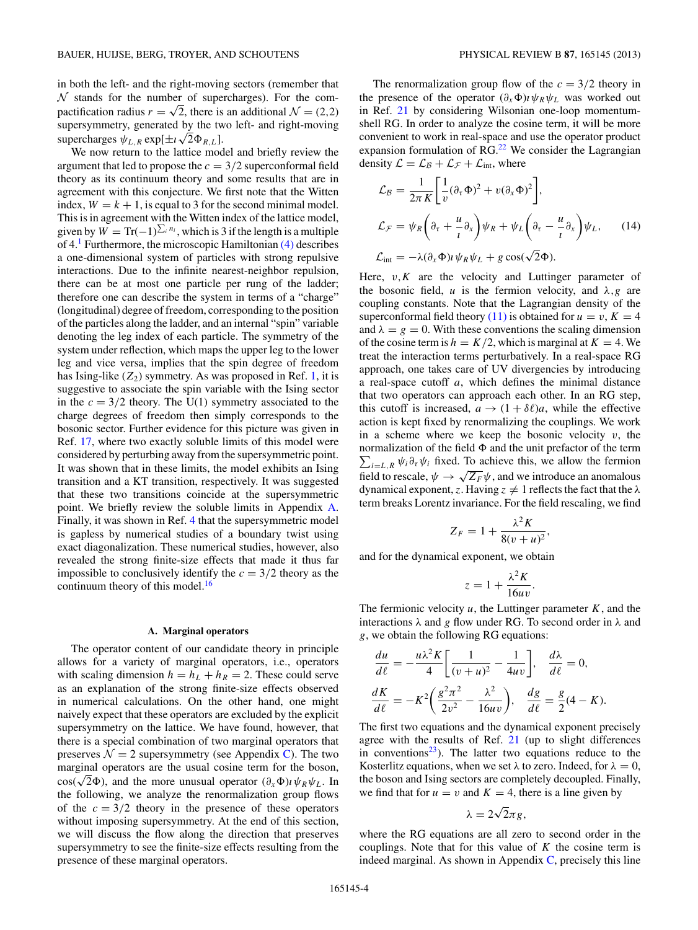<span id="page-4-0"></span>in both the left- and the right-moving sectors (remember that  $N$  stands for the number of supercharges). For the compactification radius  $r = \sqrt{2}$ , there is an additional  $\mathcal{N} = (2,2)$ supersymmetry, generated by the two left- and right-moving supersymmetry, generated by the two<br>supercharges  $\psi_{L,R}$  exp[ $\pm i\sqrt{2}\Phi_{R,L}$ ].

We now return to the lattice model and briefly review the argument that led to propose the  $c = 3/2$  superconformal field theory as its continuum theory and some results that are in agreement with this conjecture. We first note that the Witten index,  $W = k + 1$ , is equal to 3 for the second minimal model. This is in agreement with the Witten index of the lattice model, given by  $W = \text{Tr}(-1)^{\sum_i n_i}$ , which is 3 if the length is a multiple of  $4<sup>1</sup>$  $4<sup>1</sup>$  $4<sup>1</sup>$  Furthermore, the microscopic Hamiltonian [\(4\)](#page-2-0) describes a one-dimensional system of particles with strong repulsive interactions. Due to the infinite nearest-neighbor repulsion, there can be at most one particle per rung of the ladder; therefore one can describe the system in terms of a "charge" (longitudinal) degree of freedom, corresponding to the position of the particles along the ladder, and an internal "spin" variable denoting the leg index of each particle. The symmetry of the system under reflection, which maps the upper leg to the lower leg and vice versa, implies that the spin degree of freedom has Ising-like  $(Z_2)$  symmetry. As was proposed in Ref. [1,](#page-14-0) it is suggestive to associate the spin variable with the Ising sector in the  $c = 3/2$  theory. The U(1) symmetry associated to the charge degrees of freedom then simply corresponds to the bosonic sector. Further evidence for this picture was given in Ref. [17,](#page-14-0) where two exactly soluble limits of this model were considered by perturbing away from the supersymmetric point. It was shown that in these limits, the model exhibits an Ising transition and a KT transition, respectively. It was suggested that these two transitions coincide at the supersymmetric point. We briefly review the soluble limits in Appendix [A.](#page-12-0) Finally, it was shown in Ref. [4](#page-14-0) that the supersymmetric model is gapless by numerical studies of a boundary twist using exact diagonalization. These numerical studies, however, also revealed the strong finite-size effects that made it thus far impossible to conclusively identify the  $c = 3/2$  theory as the continuum theory of this model.<sup>16</sup>

#### **A. Marginal operators**

The operator content of our candidate theory in principle allows for a variety of marginal operators, i.e., operators with scaling dimension  $h = h_L + h_R = 2$ . These could serve as an explanation of the strong finite-size effects observed in numerical calculations. On the other hand, one might naively expect that these operators are excluded by the explicit supersymmetry on the lattice. We have found, however, that there is a special combination of two marginal operators that preserves  $\mathcal{N} = 2$  supersymmetry (see Appendix [C\)](#page-13-0). The two marginal operators are the usual cosine term for the boson, cos( $\sqrt{2}\Phi$ ), and the more unusual operator  $(\partial_x \Phi) \psi_R \psi_L$ . In the following, we analyze the renormalization group flows of the  $c = 3/2$  theory in the presence of these operators without imposing supersymmetry. At the end of this section, we will discuss the flow along the direction that preserves supersymmetry to see the finite-size effects resulting from the presence of these marginal operators.

The renormalization group flow of the  $c = 3/2$  theory in the presence of the operator  $(\partial_x \Phi) \psi_R \psi_L$  was worked out in Ref. [21](#page-14-0) by considering Wilsonian one-loop momentumshell RG. In order to analyze the cosine term, it will be more convenient to work in real-space and use the operator product expansion formulation of  $RG<sup>22</sup>$  We consider the Lagrangian density  $\mathcal{L} = \mathcal{L}_{\mathcal{B}} + \mathcal{L}_{\mathcal{F}} + \mathcal{L}_{int}$ , where

$$
\mathcal{L}_{\mathcal{B}} = \frac{1}{2\pi K} \left[ \frac{1}{v} (\partial_{\tau} \Phi)^2 + v (\partial_{x} \Phi)^2 \right],
$$
  
\n
$$
\mathcal{L}_{\mathcal{F}} = \psi_R \left( \partial_{\tau} + \frac{u}{v} \partial_{x} \right) \psi_R + \psi_L \left( \partial_{\tau} - \frac{u}{v} \partial_{x} \right) \psi_L,
$$
 (14)  
\n
$$
\mathcal{L}_{int} = -\lambda (\partial_{x} \Phi) \psi_R \psi_L + g \cos(\sqrt{2} \Phi).
$$

Here,  $v, K$  are the velocity and Luttinger parameter of the bosonic field, *u* is the fermion velocity, and  $\lambda$ , *g* are coupling constants. Note that the Lagrangian density of the superconformal field theory [\(11\)](#page-3-0) is obtained for  $u = v, K = 4$ and  $\lambda = g = 0$ . With these conventions the scaling dimension of the cosine term is  $h = K/2$ , which is marginal at  $K = 4$ . We treat the interaction terms perturbatively. In a real-space RG approach, one takes care of UV divergencies by introducing a real-space cutoff *a*, which defines the minimal distance that two operators can approach each other. In an RG step, this cutoff is increased,  $a \rightarrow (1 + \delta \ell)a$ , while the effective action is kept fixed by renormalizing the couplings. We work in a scheme where we keep the bosonic velocity  $v$ , the normalization of the field  $\Phi$  and the unit prefactor of the term  $\sum_{i=L,R} \psi_i \partial_\tau \psi_i$  fixed. To achieve this, we allow the fermion field to rescale,  $\psi \to \sqrt{Z_F} \psi$ , and we introduce an anomalous dynamical exponent, *z*. Having  $z \neq 1$  reflects the fact that the  $\lambda$ term breaks Lorentz invariance. For the field rescaling, we find

$$
Z_F = 1 + \frac{\lambda^2 K}{8(v+u)^2},
$$

and for the dynamical exponent, we obtain

$$
z = 1 + \frac{\lambda^2 K}{16uv}.
$$

The fermionic velocity *u*, the Luttinger parameter *K*, and the interactions *λ* and *g* flow under RG. To second order in *λ* and *g*, we obtain the following RG equations:

$$
\frac{du}{d\ell} = -\frac{u\lambda^2 K}{4} \left[ \frac{1}{(v+u)^2} - \frac{1}{4uv} \right], \quad \frac{d\lambda}{d\ell} = 0,
$$

$$
\frac{dK}{d\ell} = -K^2 \left( \frac{g^2 \pi^2}{2v^2} - \frac{\lambda^2}{16uv} \right), \quad \frac{dg}{d\ell} = \frac{g}{2} (4 - K).
$$

The first two equations and the dynamical exponent precisely agree with the results of Ref. [21](#page-14-0) (up to slight differences in conventions<sup>[23](#page-15-0)</sup>). The latter two equations reduce to the Kosterlitz equations, when we set  $\lambda$  to zero. Indeed, for  $\lambda = 0$ , the boson and Ising sectors are completely decoupled. Finally, we find that for  $u = v$  and  $K = 4$ , there is a line given by

$$
\lambda = 2\sqrt{2}\pi g,
$$

where the RG equations are all zero to second order in the couplings. Note that for this value of *K* the cosine term is indeed marginal. As shown in Appendix  $C$ , precisely this line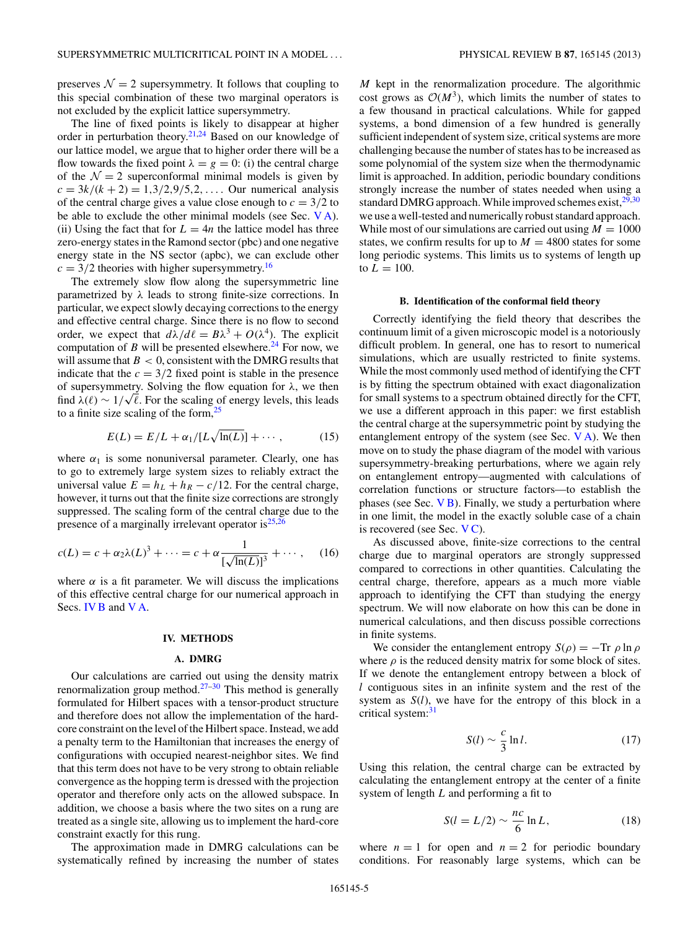<span id="page-5-0"></span>preserves  $\mathcal{N} = 2$  supersymmetry. It follows that coupling to this special combination of these two marginal operators is not excluded by the explicit lattice supersymmetry.

The line of fixed points is likely to disappear at higher order in perturbation theory[.21,](#page-14-0)[24](#page-15-0) Based on our knowledge of our lattice model, we argue that to higher order there will be a flow towards the fixed point  $\lambda = g = 0$ : (i) the central charge of the  $\mathcal{N} = 2$  superconformal minimal models is given by  $c = 3k/(k+2) = 1,3/2,9/5,2,...$  Our numerical analysis of the central charge gives a value close enough to  $c = 3/2$  to be able to exclude the other minimal models (see Sec. [V A\)](#page-6-0). (ii) Using the fact that for  $L = 4n$  the lattice model has three zero-energy states in the Ramond sector (pbc) and one negative energy state in the NS sector (apbc), we can exclude other  $c = 3/2$  theories with higher supersymmetry.<sup>16</sup>

The extremely slow flow along the supersymmetric line parametrized by *λ* leads to strong finite-size corrections. In particular, we expect slowly decaying corrections to the energy and effective central charge. Since there is no flow to second order, we expect that  $d\lambda/d\ell = B\lambda^3 + O(\lambda^4)$ . The explicit computation of *B* will be presented elsewhere.<sup>24</sup> For now, we will assume that  $B < 0$ , consistent with the DMRG results that indicate that the  $c = 3/2$  fixed point is stable in the presence of supersymmetry. Solving the flow equation for *λ*, we then of supersymmetry. Solving the flow equation for  $\lambda$ , we then find  $\lambda(\ell) \sim 1/\sqrt{\ell}$ . For the scaling of energy levels, this leads to a finite size scaling of the form, $25$ 

$$
E(L) = E/L + \alpha_1 / [L\sqrt{\ln(L)}] + \cdots, \qquad (15)
$$

where  $\alpha_1$  is some nonuniversal parameter. Clearly, one has to go to extremely large system sizes to reliably extract the universal value  $E = h_L + h_R - c/12$ . For the central charge, however, it turns out that the finite size corrections are strongly suppressed. The scaling form of the central charge due to the presence of a marginally irrelevant operator is  $25,26$ 

$$
c(L) = c + \alpha_2 \lambda(L)^3 + \dots = c + \alpha \frac{1}{[\sqrt{\ln(L)}]^3} + \dots, \quad (16)
$$

where  $\alpha$  is a fit parameter. We will discuss the implications of this effective central charge for our numerical approach in Secs. IV B and [V A.](#page-6-0)

## **IV. METHODS**

### **A. DMRG**

Our calculations are carried out using the density matrix renormalization group method. $27-30$  This method is generally formulated for Hilbert spaces with a tensor-product structure and therefore does not allow the implementation of the hardcore constraint on the level of the Hilbert space. Instead, we add a penalty term to the Hamiltonian that increases the energy of configurations with occupied nearest-neighbor sites. We find that this term does not have to be very strong to obtain reliable convergence as the hopping term is dressed with the projection operator and therefore only acts on the allowed subspace. In addition, we choose a basis where the two sites on a rung are treated as a single site, allowing us to implement the hard-core constraint exactly for this rung.

The approximation made in DMRG calculations can be systematically refined by increasing the number of states *M* kept in the renormalization procedure. The algorithmic cost grows as  $O(M^3)$ , which limits the number of states to a few thousand in practical calculations. While for gapped systems, a bond dimension of a few hundred is generally sufficient independent of system size, critical systems are more challenging because the number of states has to be increased as some polynomial of the system size when the thermodynamic limit is approached. In addition, periodic boundary conditions strongly increase the number of states needed when using a standard DMRG approach. While improved schemes exist, <sup>29,30</sup> we use a well-tested and numerically robust standard approach. While most of our simulations are carried out using  $M = 1000$ states, we confirm results for up to  $M = 4800$  states for some long periodic systems. This limits us to systems of length up to  $L = 100$ .

#### **B. Identification of the conformal field theory**

Correctly identifying the field theory that describes the continuum limit of a given microscopic model is a notoriously difficult problem. In general, one has to resort to numerical simulations, which are usually restricted to finite systems. While the most commonly used method of identifying the CFT is by fitting the spectrum obtained with exact diagonalization for small systems to a spectrum obtained directly for the CFT, we use a different approach in this paper: we first establish the central charge at the supersymmetric point by studying the entanglement entropy of the system (see Sec. [V A\)](#page-6-0). We then move on to study the phase diagram of the model with various supersymmetry-breaking perturbations, where we again rely on entanglement entropy—augmented with calculations of correlation functions or structure factors—to establish the phases (see Sec.  $V$ B). Finally, we study a perturbation where in one limit, the model in the exactly soluble case of a chain is recovered (see Sec.  $VC$ ).

As discussed above, finite-size corrections to the central charge due to marginal operators are strongly suppressed compared to corrections in other quantities. Calculating the central charge, therefore, appears as a much more viable approach to identifying the CFT than studying the energy spectrum. We will now elaborate on how this can be done in numerical calculations, and then discuss possible corrections in finite systems.

We consider the entanglement entropy  $S(\rho) = -\text{Tr } \rho \ln \rho$ where  $\rho$  is the reduced density matrix for some block of sites. If we denote the entanglement entropy between a block of *l* contiguous sites in an infinite system and the rest of the system as *S*(*l*), we have for the entropy of this block in a critical system: $31$ 

$$
S(l) \sim \frac{c}{3} \ln l. \tag{17}
$$

Using this relation, the central charge can be extracted by calculating the entanglement entropy at the center of a finite system of length *L* and performing a fit to

$$
S(l = L/2) \sim \frac{nc}{6} \ln L,\tag{18}
$$

where  $n = 1$  for open and  $n = 2$  for periodic boundary conditions. For reasonably large systems, which can be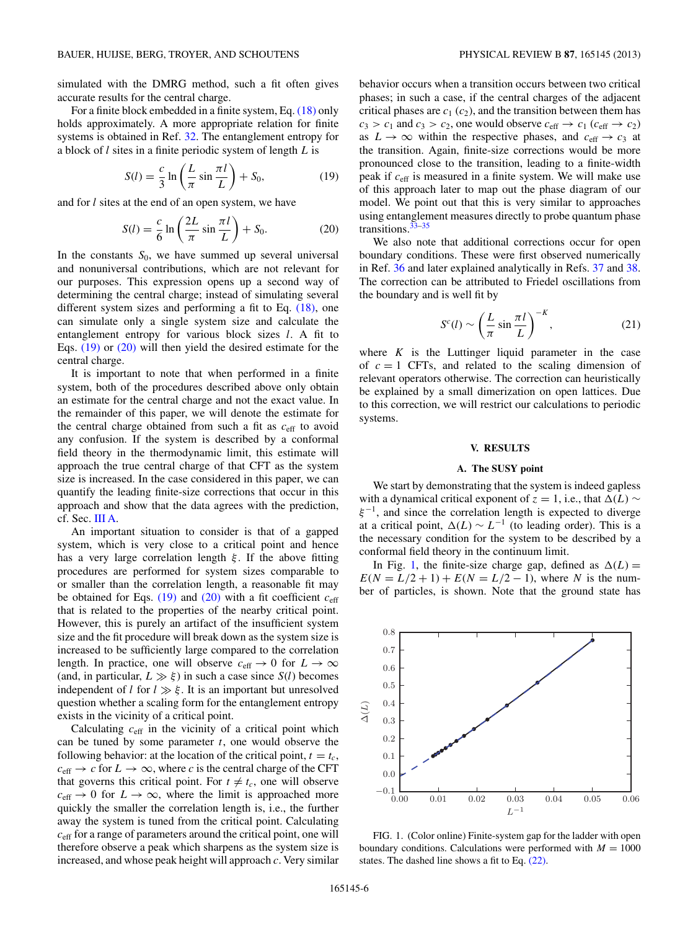<span id="page-6-0"></span>simulated with the DMRG method, such a fit often gives accurate results for the central charge.

For a finite block embedded in a finite system, Eq. [\(18\)](#page-5-0) only holds approximately. A more appropriate relation for finite systems is obtained in Ref. [32.](#page-15-0) The entanglement entropy for a block of *l* sites in a finite periodic system of length *L* is

$$
S(l) = \frac{c}{3} \ln \left( \frac{L}{\pi} \sin \frac{\pi l}{L} \right) + S_0,
$$
 (19)

and for *l* sites at the end of an open system, we have

$$
S(l) = \frac{c}{6} \ln \left( \frac{2L}{\pi} \sin \frac{\pi l}{L} \right) + S_0.
$$
 (20)

In the constants  $S_0$ , we have summed up several universal and nonuniversal contributions, which are not relevant for our purposes. This expression opens up a second way of determining the central charge; instead of simulating several different system sizes and performing a fit to Eq. [\(18\),](#page-5-0) one can simulate only a single system size and calculate the entanglement entropy for various block sizes *l*. A fit to Eqs. (19) or (20) will then yield the desired estimate for the central charge.

It is important to note that when performed in a finite system, both of the procedures described above only obtain an estimate for the central charge and not the exact value. In the remainder of this paper, we will denote the estimate for the central charge obtained from such a fit as  $c_{\text{eff}}$  to avoid any confusion. If the system is described by a conformal field theory in the thermodynamic limit, this estimate will approach the true central charge of that CFT as the system size is increased. In the case considered in this paper, we can quantify the leading finite-size corrections that occur in this approach and show that the data agrees with the prediction, cf. Sec. [III A.](#page-4-0)

An important situation to consider is that of a gapped system, which is very close to a critical point and hence has a very large correlation length *ξ* . If the above fitting procedures are performed for system sizes comparable to or smaller than the correlation length, a reasonable fit may be obtained for Eqs.  $(19)$  and  $(20)$  with a fit coefficient  $c_{\text{eff}}$ that is related to the properties of the nearby critical point. However, this is purely an artifact of the insufficient system size and the fit procedure will break down as the system size is increased to be sufficiently large compared to the correlation length. In practice, one will observe  $c_{\text{eff}} \rightarrow 0$  for  $L \rightarrow \infty$ (and, in particular,  $L \gg \xi$ ) in such a case since  $S(l)$  becomes independent of *l* for  $l \gg \xi$ . It is an important but unresolved question whether a scaling form for the entanglement entropy exists in the vicinity of a critical point.

Calculating  $c_{\text{eff}}$  in the vicinity of a critical point which can be tuned by some parameter *t*, one would observe the following behavior: at the location of the critical point,  $t = t_c$ ,  $c_{\text{eff}} \rightarrow c$  for  $L \rightarrow \infty$ , where *c* is the central charge of the CFT that governs this critical point. For  $t \neq t_c$ , one will observe  $c_{\text{eff}} \rightarrow 0$  for  $L \rightarrow \infty$ , where the limit is approached more quickly the smaller the correlation length is, i.e., the further away the system is tuned from the critical point. Calculating *c*eff for a range of parameters around the critical point, one will therefore observe a peak which sharpens as the system size is increased, and whose peak height will approach *c*. Very similar behavior occurs when a transition occurs between two critical phases; in such a case, if the central charges of the adjacent critical phases are  $c_1$  ( $c_2$ ), and the transition between them has  $c_3 > c_1$  and  $c_3 > c_2$ , one would observe  $c_{\text{eff}} \rightarrow c_1$  ( $c_{\text{eff}} \rightarrow c_2$ ) as  $L \rightarrow \infty$  within the respective phases, and  $c_{\text{eff}} \rightarrow c_3$  at the transition. Again, finite-size corrections would be more pronounced close to the transition, leading to a finite-width peak if *c*eff is measured in a finite system. We will make use of this approach later to map out the phase diagram of our model. We point out that this is very similar to approaches using entanglement measures directly to probe quantum phase transitions.  $33-35$ 

We also note that additional corrections occur for open boundary conditions. These were first observed numerically in Ref. [36](#page-15-0) and later explained analytically in Refs. [37](#page-15-0) and [38.](#page-15-0) The correction can be attributed to Friedel oscillations from the boundary and is well fit by

$$
S^{c}(l) \sim \left(\frac{L}{\pi} \sin \frac{\pi l}{L}\right)^{-K},\tag{21}
$$

where  $K$  is the Luttinger liquid parameter in the case of  $c = 1$  CFTs, and related to the scaling dimension of relevant operators otherwise. The correction can heuristically be explained by a small dimerization on open lattices. Due to this correction, we will restrict our calculations to periodic systems.

#### **V. RESULTS**

#### **A. The SUSY point**

We start by demonstrating that the system is indeed gapless with a dynamical critical exponent of  $z = 1$ , i.e., that  $\Delta(L)$  ∼ *ξ* <sup>−</sup>1, and since the correlation length is expected to diverge at a critical point,  $\Delta(L) \sim L^{-1}$  (to leading order). This is a the necessary condition for the system to be described by a conformal field theory in the continuum limit.

In Fig. 1, the finite-size charge gap, defined as  $\Delta(L)$  =  $E(N = L/2 + 1) + E(N = L/2 - 1)$ , where *N* is the number of particles, is shown. Note that the ground state has



FIG. 1. (Color online) Finite-system gap for the ladder with open boundary conditions. Calculations were performed with  $M = 1000$ states. The dashed line shows a fit to Eq. [\(22\).](#page-7-0)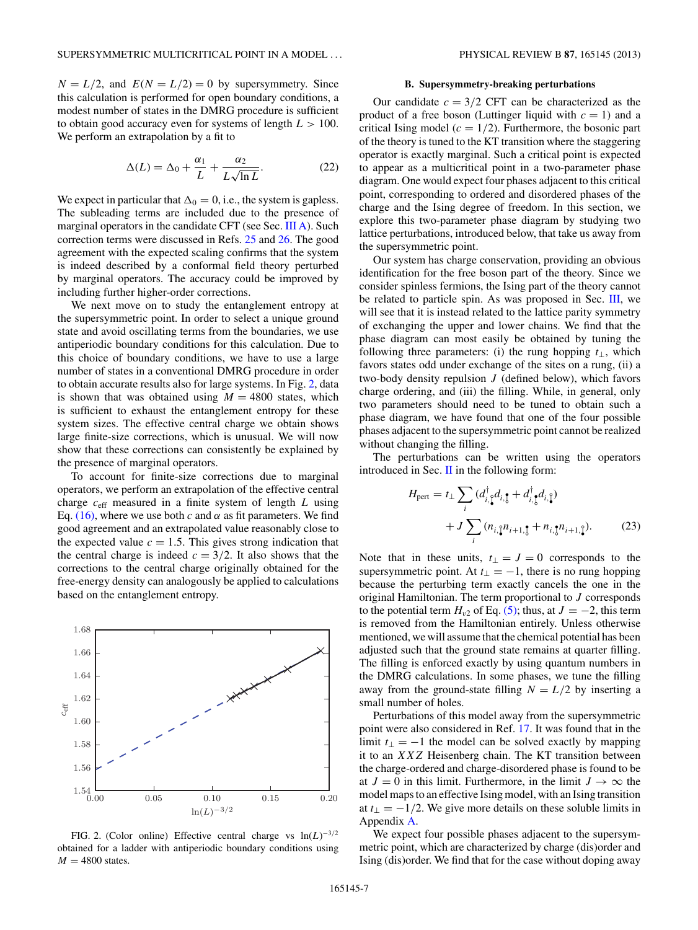<span id="page-7-0"></span> $N = L/2$ , and  $E(N = L/2) = 0$  by supersymmetry. Since this calculation is performed for open boundary conditions, a modest number of states in the DMRG procedure is sufficient to obtain good accuracy even for systems of length *L >* 100. We perform an extrapolation by a fit to

$$
\Delta(L) = \Delta_0 + \frac{\alpha_1}{L} + \frac{\alpha_2}{L\sqrt{\ln L}}.\tag{22}
$$

We expect in particular that  $\Delta_0 = 0$ , i.e., the system is gapless. The subleading terms are included due to the presence of marginal operators in the candidate CFT (see Sec. [III A\)](#page-4-0). Such correction terms were discussed in Refs. [25](#page-15-0) and [26.](#page-15-0) The good agreement with the expected scaling confirms that the system is indeed described by a conformal field theory perturbed by marginal operators. The accuracy could be improved by including further higher-order corrections.

We next move on to study the entanglement entropy at the supersymmetric point. In order to select a unique ground state and avoid oscillating terms from the boundaries, we use antiperiodic boundary conditions for this calculation. Due to this choice of boundary conditions, we have to use a large number of states in a conventional DMRG procedure in order to obtain accurate results also for large systems. In Fig. 2, data is shown that was obtained using  $M = 4800$  states, which is sufficient to exhaust the entanglement entropy for these system sizes. The effective central charge we obtain shows large finite-size corrections, which is unusual. We will now show that these corrections can consistently be explained by the presence of marginal operators.

To account for finite-size corrections due to marginal operators, we perform an extrapolation of the effective central charge *c*eff measured in a finite system of length *L* using Eq. [\(16\),](#page-5-0) where we use both *c* and  $\alpha$  as fit parameters. We find good agreement and an extrapolated value reasonably close to the expected value  $c = 1.5$ . This gives strong indication that the central charge is indeed  $c = 3/2$ . It also shows that the corrections to the central charge originally obtained for the free-energy density can analogously be applied to calculations based on the entanglement entropy.



FIG. 2. (Color online) Effective central charge vs  $ln(L)^{-3/2}$ obtained for a ladder with antiperiodic boundary conditions using  $M = 4800$  states.

#### **B. Supersymmetry-breaking perturbations**

Our candidate  $c = 3/2$  CFT can be characterized as the product of a free boson (Luttinger liquid with  $c = 1$ ) and a critical Ising model ( $c = 1/2$ ). Furthermore, the bosonic part of the theory is tuned to the KT transition where the staggering operator is exactly marginal. Such a critical point is expected to appear as a multicritical point in a two-parameter phase diagram. One would expect four phases adjacent to this critical point, corresponding to ordered and disordered phases of the charge and the Ising degree of freedom. In this section, we explore this two-parameter phase diagram by studying two lattice perturbations, introduced below, that take us away from the supersymmetric point.

Our system has charge conservation, providing an obvious identification for the free boson part of the theory. Since we consider spinless fermions, the Ising part of the theory cannot be related to particle spin. As was proposed in Sec. [III,](#page-3-0) we will see that it is instead related to the lattice parity symmetry of exchanging the upper and lower chains. We find that the phase diagram can most easily be obtained by tuning the following three parameters: (i) the rung hopping *t*⊥, which favors states odd under exchange of the sites on a rung, (ii) a two-body density repulsion *J* (defined below), which favors charge ordering, and (iii) the filling. While, in general, only two parameters should need to be tuned to obtain such a phase diagram, we have found that one of the four possible phases adjacent to the supersymmetric point cannot be realized without changing the filling.

The perturbations can be written using the operators introduced in Sec.  $\Pi$  in the following form:

$$
H_{\text{pert}} = t_{\perp} \sum_{i} (d_{i,\hat{\zeta}}^{\dagger} d_{i,\hat{\zeta}} + d_{i,\hat{\zeta}}^{\dagger} d_{i,\hat{\zeta}})
$$
  
+  $J \sum_{i} (n_{i,\hat{\zeta}} n_{i+1,\hat{\zeta}} + n_{i,\hat{\zeta}} n_{i+1,\hat{\zeta}}).$  (23)

Note that in these units,  $t_{\perp} = J = 0$  corresponds to the supersymmetric point. At  $t_{\perp} = -1$ , there is no rung hopping because the perturbing term exactly cancels the one in the original Hamiltonian. The term proportional to *J* corresponds to the potential term  $H_{v2}$  of Eq. [\(5\);](#page-2-0) thus, at  $J = -2$ , this term is removed from the Hamiltonian entirely. Unless otherwise mentioned, we will assume that the chemical potential has been adjusted such that the ground state remains at quarter filling. The filling is enforced exactly by using quantum numbers in the DMRG calculations. In some phases, we tune the filling away from the ground-state filling  $N = L/2$  by inserting a small number of holes.

Perturbations of this model away from the supersymmetric point were also considered in Ref. [17.](#page-14-0) It was found that in the limit  $t_{\perp} = -1$  the model can be solved exactly by mapping it to an *XXZ* Heisenberg chain. The KT transition between the charge-ordered and charge-disordered phase is found to be at  $J = 0$  in this limit. Furthermore, in the limit  $J \to \infty$  the model maps to an effective Ising model, with an Ising transition at  $t_{\perp} = -1/2$ . We give more details on these soluble limits in Appendix [A.](#page-12-0)

We expect four possible phases adjacent to the supersymmetric point, which are characterized by charge (dis)order and Ising (dis)order. We find that for the case without doping away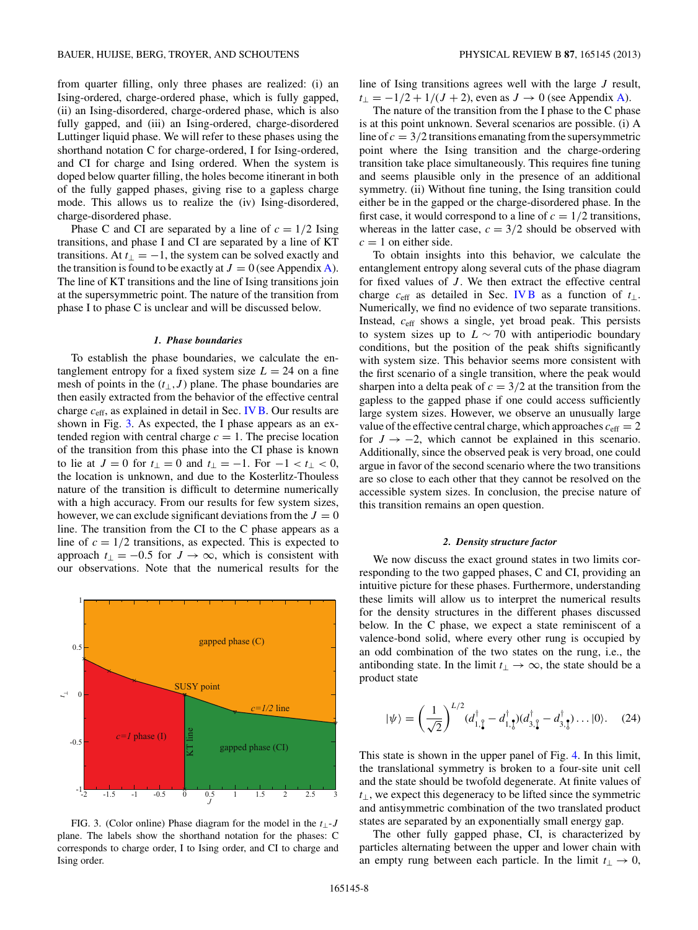<span id="page-8-0"></span>from quarter filling, only three phases are realized: (i) an Ising-ordered, charge-ordered phase, which is fully gapped, (ii) an Ising-disordered, charge-ordered phase, which is also fully gapped, and (iii) an Ising-ordered, charge-disordered Luttinger liquid phase. We will refer to these phases using the shorthand notation C for charge-ordered, I for Ising-ordered, and CI for charge and Ising ordered. When the system is doped below quarter filling, the holes become itinerant in both of the fully gapped phases, giving rise to a gapless charge mode. This allows us to realize the (iv) Ising-disordered, charge-disordered phase.

Phase C and CI are separated by a line of  $c = 1/2$  Ising transitions, and phase I and CI are separated by a line of KT transitions. At  $t_{\perp} = -1$ , the system can be solved exactly and the transition is found to be exactly at  $J = 0$  (see Appendix [A\)](#page-12-0). The line of KT transitions and the line of Ising transitions join at the supersymmetric point. The nature of the transition from phase I to phase C is unclear and will be discussed below.

#### *1. Phase boundaries*

To establish the phase boundaries, we calculate the entanglement entropy for a fixed system size  $L = 24$  on a fine mesh of points in the  $(t_{\perp}, J)$  plane. The phase boundaries are then easily extracted from the behavior of the effective central charge *c*eff, as explained in detail in Sec. [IV B.](#page-5-0) Our results are shown in Fig. 3. As expected, the I phase appears as an extended region with central charge  $c = 1$ . The precise location of the transition from this phase into the CI phase is known to lie at  $J = 0$  for  $t_{\perp} = 0$  and  $t_{\perp} = -1$ . For  $-1 < t_{\perp} < 0$ , the location is unknown, and due to the Kosterlitz-Thouless nature of the transition is difficult to determine numerically with a high accuracy. From our results for few system sizes, however, we can exclude significant deviations from the  $J = 0$ line. The transition from the CI to the C phase appears as a line of  $c = 1/2$  transitions, as expected. This is expected to approach  $t_{\perp} = -0.5$  for  $J \rightarrow \infty$ , which is consistent with our observations. Note that the numerical results for the



FIG. 3. (Color online) Phase diagram for the model in the *t*⊥-*J* plane. The labels show the shorthand notation for the phases: C corresponds to charge order, I to Ising order, and CI to charge and Ising order.

line of Ising transitions agrees well with the large *J* result,  $t_{\perp} = -1/2 + 1/(J + 2)$ , even as  $J \rightarrow 0$  (see Appendix [A\)](#page-12-0).

The nature of the transition from the I phase to the C phase is at this point unknown. Several scenarios are possible. (i) A line of  $c = 3/2$  transitions emanating from the supersymmetric point where the Ising transition and the charge-ordering transition take place simultaneously. This requires fine tuning and seems plausible only in the presence of an additional symmetry. (ii) Without fine tuning, the Ising transition could either be in the gapped or the charge-disordered phase. In the first case, it would correspond to a line of  $c = 1/2$  transitions, whereas in the latter case,  $c = 3/2$  should be observed with  $c = 1$  on either side.

To obtain insights into this behavior, we calculate the entanglement entropy along several cuts of the phase diagram for fixed values of *J*. We then extract the effective central charge  $c_{\text{eff}}$  as detailed in Sec. [IV B](#page-5-0) as a function of  $t_{\perp}$ . Numerically, we find no evidence of two separate transitions. Instead, *c*eff shows a single, yet broad peak. This persists to system sizes up to *L* ∼ 70 with antiperiodic boundary conditions, but the position of the peak shifts significantly with system size. This behavior seems more consistent with the first scenario of a single transition, where the peak would sharpen into a delta peak of  $c = 3/2$  at the transition from the gapless to the gapped phase if one could access sufficiently large system sizes. However, we observe an unusually large value of the effective central charge, which approaches  $c_{\text{eff}} = 2$ for  $J \rightarrow -2$ , which cannot be explained in this scenario. Additionally, since the observed peak is very broad, one could argue in favor of the second scenario where the two transitions are so close to each other that they cannot be resolved on the accessible system sizes. In conclusion, the precise nature of this transition remains an open question.

#### *2. Density structure factor*

We now discuss the exact ground states in two limits corresponding to the two gapped phases, C and CI, providing an intuitive picture for these phases. Furthermore, understanding these limits will allow us to interpret the numerical results for the density structures in the different phases discussed below. In the C phase, we expect a state reminiscent of a valence-bond solid, where every other rung is occupied by an odd combination of the two states on the rung, i.e., the antibonding state. In the limit  $t_{\perp} \rightarrow \infty$ , the state should be a product state

$$
|\psi\rangle = \left(\frac{1}{\sqrt{2}}\right)^{L/2} (d_{1,\frac{9}{4}}^{\dagger} - d_{1,\frac{1}{4}}^{\dagger}) (d_{3,\frac{9}{4}}^{\dagger} - d_{3,\frac{1}{4}}^{\dagger}) \dots |0\rangle. \quad (24)
$$

This state is shown in the upper panel of Fig. [4.](#page-9-0) In this limit, the translational symmetry is broken to a four-site unit cell and the state should be twofold degenerate. At finite values of *t*⊥, we expect this degeneracy to be lifted since the symmetric and antisymmetric combination of the two translated product states are separated by an exponentially small energy gap.

The other fully gapped phase, CI, is characterized by particles alternating between the upper and lower chain with an empty rung between each particle. In the limit  $t_{\perp} \rightarrow 0$ ,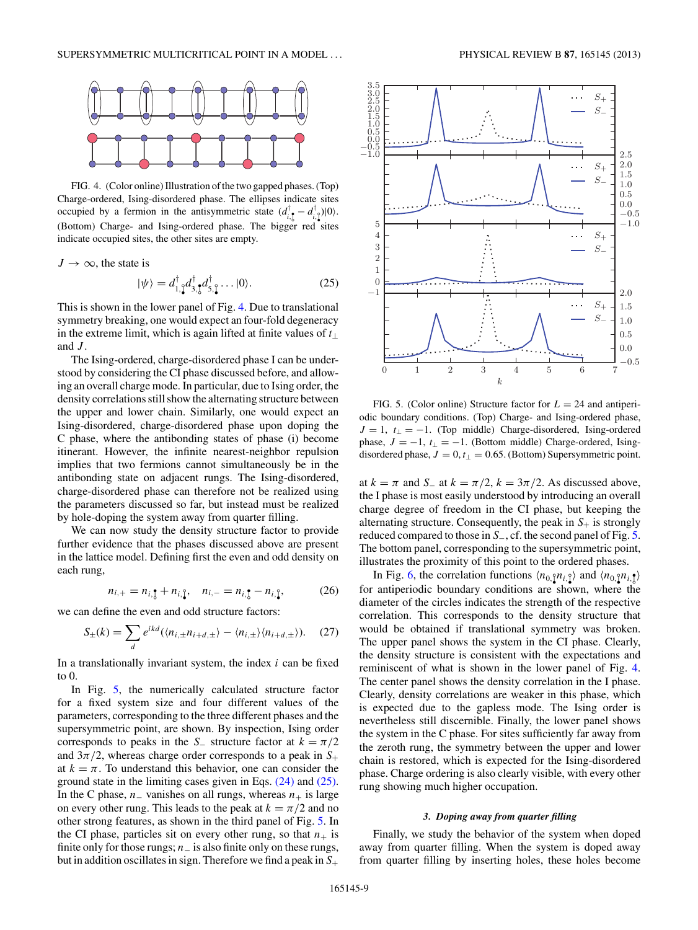<span id="page-9-0"></span>

FIG. 4. (Color online) Illustration of the two gapped phases. (Top) Charge-ordered, Ising-disordered phase. The ellipses indicate sites occupied by a fermion in the antisymmetric state  $(d_{i,\zeta}^{\dagger} - d_{i,\zeta}^{\dagger})|0\rangle$ . (Bottom) Charge- and Ising-ordered phase. The bigger red sites indicate occupied sites, the other sites are empty.

 $J \rightarrow \infty$ , the state is

$$
|\psi\rangle = d_{1,\hat{1}}^{\dagger} d_{3,\hat{1}}^{\dagger} d_{5,\hat{1}}^{\dagger} \dots |0\rangle. \tag{25}
$$

This is shown in the lower panel of Fig. 4. Due to translational symmetry breaking, one would expect an four-fold degeneracy in the extreme limit, which is again lifted at finite values of *t*<sup>⊥</sup> and *J* .

The Ising-ordered, charge-disordered phase I can be understood by considering the CI phase discussed before, and allowing an overall charge mode. In particular, due to Ising order, the density correlations still show the alternating structure between the upper and lower chain. Similarly, one would expect an Ising-disordered, charge-disordered phase upon doping the C phase, where the antibonding states of phase (i) become itinerant. However, the infinite nearest-neighbor repulsion implies that two fermions cannot simultaneously be in the antibonding state on adjacent rungs. The Ising-disordered, charge-disordered phase can therefore not be realized using the parameters discussed so far, but instead must be realized by hole-doping the system away from quarter filling.

We can now study the density structure factor to provide further evidence that the phases discussed above are present in the lattice model. Defining first the even and odd density on each rung,

$$
n_{i,+} = n_{i,\sharp} + n_{i,\sharp}, \quad n_{i,-} = n_{i,\sharp} - n_{i,\sharp}, \tag{26}
$$

we can define the even and odd structure factors:

$$
S_{\pm}(k) = \sum_{d} e^{ikd} (\langle n_{i,\pm} n_{i+d,\pm} \rangle - \langle n_{i,\pm} \rangle \langle n_{i+d,\pm} \rangle). \tag{27}
$$

In a translationally invariant system, the index *i* can be fixed to 0.

In Fig. 5, the numerically calculated structure factor for a fixed system size and four different values of the parameters, corresponding to the three different phases and the supersymmetric point, are shown. By inspection, Ising order corresponds to peaks in the *S*<sub>−</sub> structure factor at  $k = \pi/2$ and  $3\pi/2$ , whereas charge order corresponds to a peak in  $S_+$ at  $k = \pi$ . To understand this behavior, one can consider the ground state in the limiting cases given in Eqs. [\(24\)](#page-8-0) and (25). In the C phase,  $n_$  vanishes on all rungs, whereas  $n_+$  is large on every other rung. This leads to the peak at  $k = \pi/2$  and no other strong features, as shown in the third panel of Fig. 5. In the CI phase, particles sit on every other rung, so that  $n_+$  is finite only for those rungs; *n*<sup>−</sup> is also finite only on these rungs, but in addition oscillates in sign. Therefore we find a peak in *S*<sup>+</sup>



FIG. 5. (Color online) Structure factor for  $L = 24$  and antiperiodic boundary conditions. (Top) Charge- and Ising-ordered phase,  $J = 1$ ,  $t_{\perp} = -1$ . (Top middle) Charge-disordered, Ising-ordered phase,  $J = -1$ ,  $t_{\perp} = -1$ . (Bottom middle) Charge-ordered, Isingdisordered phase,  $J = 0, t_{\perp} = 0.65$ . (Bottom) Supersymmetric point.

at  $k = \pi$  and  $S_$  at  $k = \pi/2$ ,  $k = 3\pi/2$ . As discussed above, the I phase is most easily understood by introducing an overall charge degree of freedom in the CI phase, but keeping the alternating structure. Consequently, the peak in  $S_+$  is strongly reduced compared to those in *S*−, cf. the second panel of Fig. 5. The bottom panel, corresponding to the supersymmetric point, illustrates the proximity of this point to the ordered phases.

In Fig. [6,](#page-10-0) the correlation functions  $\langle n_{0,1}n_{i,1}\rangle$  and  $\langle n_{0,1}n_{i,1}\rangle$ for antiperiodic boundary conditions are shown, where the diameter of the circles indicates the strength of the respective correlation. This corresponds to the density structure that would be obtained if translational symmetry was broken. The upper panel shows the system in the CI phase. Clearly, the density structure is consistent with the expectations and reminiscent of what is shown in the lower panel of Fig. 4. The center panel shows the density correlation in the I phase. Clearly, density correlations are weaker in this phase, which is expected due to the gapless mode. The Ising order is nevertheless still discernible. Finally, the lower panel shows the system in the C phase. For sites sufficiently far away from the zeroth rung, the symmetry between the upper and lower chain is restored, which is expected for the Ising-disordered phase. Charge ordering is also clearly visible, with every other rung showing much higher occupation.

#### *3. Doping away from quarter filling*

Finally, we study the behavior of the system when doped away from quarter filling. When the system is doped away from quarter filling by inserting holes, these holes become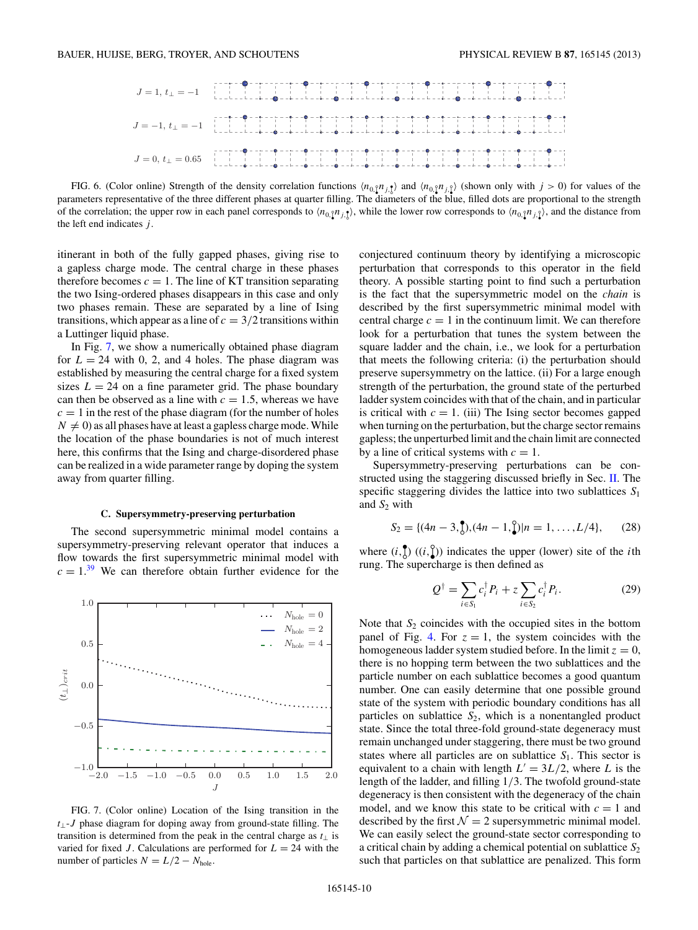<span id="page-10-0"></span>

FIG. 6. (Color online) Strength of the density correlation functions  $\langle n_{0,1}n_{j,1} \rangle$  and  $\langle n_{0,1}n_{j,1} \rangle$  (shown only with  $j > 0$ ) for values of the parameters representative of the three different phases at quarter filling. The diameters of the blue, filled dots are proportional to the strength of the correlation; the upper row in each panel corresponds to  $\langle n_{0,1}n_{j,1} \rangle$ , while the lower row corresponds to  $\langle n_{0,1}n_{j,1} \rangle$ , and the distance from the left end indicates *j* .

itinerant in both of the fully gapped phases, giving rise to a gapless charge mode. The central charge in these phases therefore becomes  $c = 1$ . The line of KT transition separating the two Ising-ordered phases disappears in this case and only two phases remain. These are separated by a line of Ising transitions, which appear as a line of  $c = 3/2$  transitions within a Luttinger liquid phase.

In Fig. 7, we show a numerically obtained phase diagram for  $L = 24$  with 0, 2, and 4 holes. The phase diagram was established by measuring the central charge for a fixed system sizes  $L = 24$  on a fine parameter grid. The phase boundary can then be observed as a line with  $c = 1.5$ , whereas we have  $c = 1$  in the rest of the phase diagram (for the number of holes  $N \neq 0$ ) as all phases have at least a gapless charge mode. While the location of the phase boundaries is not of much interest here, this confirms that the Ising and charge-disordered phase can be realized in a wide parameter range by doping the system away from quarter filling.

#### **C. Supersymmetry-preserving perturbation**

The second supersymmetric minimal model contains a supersymmetry-preserving relevant operator that induces a flow towards the first supersymmetric minimal model with  $c = 1<sup>39</sup>$  $c = 1<sup>39</sup>$  $c = 1<sup>39</sup>$  We can therefore obtain further evidence for the



FIG. 7. (Color online) Location of the Ising transition in the *t*⊥-*J* phase diagram for doping away from ground-state filling. The transition is determined from the peak in the central charge as  $t_{\perp}$  is varied for fixed *J*. Calculations are performed for  $L = 24$  with the number of particles  $N = L/2 - N_{\text{hole}}$ .

conjectured continuum theory by identifying a microscopic perturbation that corresponds to this operator in the field theory. A possible starting point to find such a perturbation is the fact that the supersymmetric model on the *chain* is described by the first supersymmetric minimal model with central charge  $c = 1$  in the continuum limit. We can therefore look for a perturbation that tunes the system between the square ladder and the chain, i.e., we look for a perturbation that meets the following criteria: (i) the perturbation should preserve supersymmetry on the lattice. (ii) For a large enough strength of the perturbation, the ground state of the perturbed ladder system coincides with that of the chain, and in particular is critical with  $c = 1$ . (iii) The Ising sector becomes gapped when turning on the perturbation, but the charge sector remains gapless; the unperturbed limit and the chain limit are connected by a line of critical systems with  $c = 1$ .

Supersymmetry-preserving perturbations can be constructed using the staggering discussed briefly in Sec. [II.](#page-2-0) The specific staggering divides the lattice into two sublattices *S*<sup>1</sup> and  $S_2$  with

$$
S_2 = \{ (4n - 3, \mathbf{5}), (4n - 1, \mathbf{5}) | n = 1, \dots, L/4 \}, \qquad (28)
$$

where  $(i, \bar{j})$   $((i, \bar{j}))$  indicates the upper (lower) site of the *i*th rung. The supercharge is then defined as

$$
Q^{\dagger} = \sum_{i \in S_1} c_i^{\dagger} P_i + z \sum_{i \in S_2} c_i^{\dagger} P_i.
$$
 (29)

Note that  $S_2$  coincides with the occupied sites in the bottom panel of Fig. [4.](#page-9-0) For  $z = 1$ , the system coincides with the homogeneous ladder system studied before. In the limit  $z = 0$ , there is no hopping term between the two sublattices and the particle number on each sublattice becomes a good quantum number. One can easily determine that one possible ground state of the system with periodic boundary conditions has all particles on sublattice  $S_2$ , which is a nonentangled product state. Since the total three-fold ground-state degeneracy must remain unchanged under staggering, there must be two ground states where all particles are on sublattice  $S_1$ . This sector is equivalent to a chain with length  $L' = 3L/2$ , where *L* is the length of the ladder, and filling 1*/*3. The twofold ground-state degeneracy is then consistent with the degeneracy of the chain model, and we know this state to be critical with  $c = 1$  and described by the first  $\mathcal{N} = 2$  supersymmetric minimal model. We can easily select the ground-state sector corresponding to a critical chain by adding a chemical potential on sublattice  $S_2$ such that particles on that sublattice are penalized. This form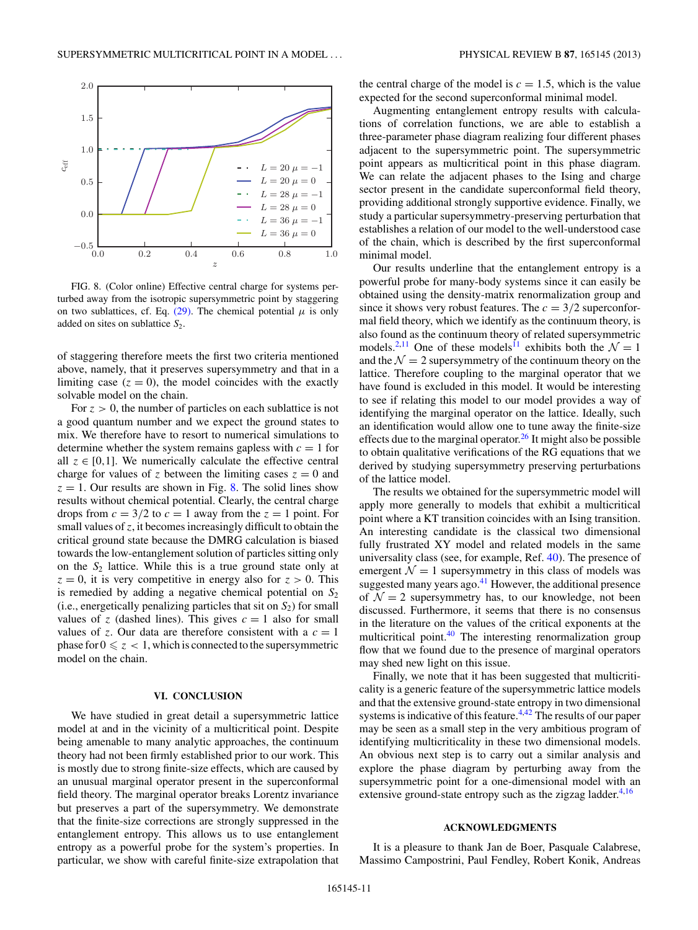

FIG. 8. (Color online) Effective central charge for systems perturbed away from the isotropic supersymmetric point by staggering on two sublattices, cf. Eq.  $(29)$ . The chemical potential  $\mu$  is only added on sites on sublattice  $S_2$ .

of staggering therefore meets the first two criteria mentioned above, namely, that it preserves supersymmetry and that in a limiting case  $(z = 0)$ , the model coincides with the exactly solvable model on the chain.

For  $z > 0$ , the number of particles on each sublattice is not a good quantum number and we expect the ground states to mix. We therefore have to resort to numerical simulations to determine whether the system remains gapless with  $c = 1$  for all  $z \in [0,1]$ . We numerically calculate the effective central charge for values of *z* between the limiting cases  $z = 0$  and  $z = 1$ . Our results are shown in Fig. 8. The solid lines show results without chemical potential. Clearly, the central charge drops from  $c = 3/2$  to  $c = 1$  away from the  $z = 1$  point. For small values of *z*, it becomes increasingly difficult to obtain the critical ground state because the DMRG calculation is biased towards the low-entanglement solution of particles sitting only on the *S*<sup>2</sup> lattice. While this is a true ground state only at  $z = 0$ , it is very competitive in energy also for  $z > 0$ . This is remedied by adding a negative chemical potential on  $S_2$ (i.e., energetically penalizing particles that sit on  $S_2$ ) for small values of *z* (dashed lines). This gives  $c = 1$  also for small values of *z*. Our data are therefore consistent with a  $c = 1$ phase for  $0 \leq z < 1$ , which is connected to the supersymmetric model on the chain.

## **VI. CONCLUSION**

We have studied in great detail a supersymmetric lattice model at and in the vicinity of a multicritical point. Despite being amenable to many analytic approaches, the continuum theory had not been firmly established prior to our work. This is mostly due to strong finite-size effects, which are caused by an unusual marginal operator present in the superconformal field theory. The marginal operator breaks Lorentz invariance but preserves a part of the supersymmetry. We demonstrate that the finite-size corrections are strongly suppressed in the entanglement entropy. This allows us to use entanglement entropy as a powerful probe for the system's properties. In particular, we show with careful finite-size extrapolation that the central charge of the model is  $c = 1.5$ , which is the value expected for the second superconformal minimal model.

Augmenting entanglement entropy results with calculations of correlation functions, we are able to establish a three-parameter phase diagram realizing four different phases adjacent to the supersymmetric point. The supersymmetric point appears as multicritical point in this phase diagram. We can relate the adjacent phases to the Ising and charge sector present in the candidate superconformal field theory, providing additional strongly supportive evidence. Finally, we study a particular supersymmetry-preserving perturbation that establishes a relation of our model to the well-understood case of the chain, which is described by the first superconformal minimal model.

Our results underline that the entanglement entropy is a powerful probe for many-body systems since it can easily be obtained using the density-matrix renormalization group and since it shows very robust features. The  $c = 3/2$  superconformal field theory, which we identify as the continuum theory, is also found as the continuum theory of related supersymmetric models.<sup>2,11</sup> One of these models<sup>11</sup> exhibits both the  $\mathcal{N} = 1$ and the  $\mathcal{N} = 2$  supersymmetry of the continuum theory on the lattice. Therefore coupling to the marginal operator that we have found is excluded in this model. It would be interesting to see if relating this model to our model provides a way of identifying the marginal operator on the lattice. Ideally, such an identification would allow one to tune away the finite-size effects due to the marginal operator.<sup>26</sup> It might also be possible to obtain qualitative verifications of the RG equations that we derived by studying supersymmetry preserving perturbations of the lattice model.

The results we obtained for the supersymmetric model will apply more generally to models that exhibit a multicritical point where a KT transition coincides with an Ising transition. An interesting candidate is the classical two dimensional fully frustrated XY model and related models in the same universality class (see, for example, Ref. [40\)](#page-15-0). The presence of emergent  $\mathcal{N} = 1$  supersymmetry in this class of models was suggested many years ago.<sup>41</sup> However, the additional presence of  $\mathcal{N} = 2$  supersymmetry has, to our knowledge, not been discussed. Furthermore, it seems that there is no consensus in the literature on the values of the critical exponents at the multicritical point.<sup>[40](#page-15-0)</sup> The interesting renormalization group flow that we found due to the presence of marginal operators may shed new light on this issue.

Finally, we note that it has been suggested that multicriticality is a generic feature of the supersymmetric lattice models and that the extensive ground-state entropy in two dimensional systems is indicative of this feature. $4,42$  $4,42$  The results of our paper may be seen as a small step in the very ambitious program of identifying multicriticality in these two dimensional models. An obvious next step is to carry out a similar analysis and explore the phase diagram by perturbing away from the supersymmetric point for a one-dimensional model with an extensive ground-state entropy such as the zigzag ladder.<sup>[4,16](#page-14-0)</sup>

#### **ACKNOWLEDGMENTS**

It is a pleasure to thank Jan de Boer, Pasquale Calabrese, Massimo Campostrini, Paul Fendley, Robert Konik, Andreas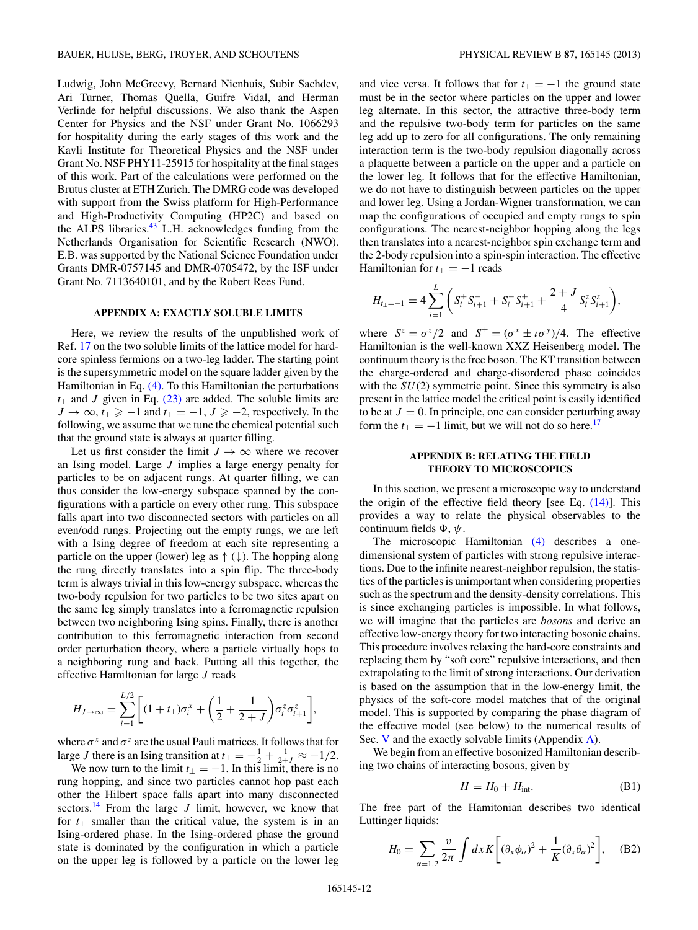<span id="page-12-0"></span>Ludwig, John McGreevy, Bernard Nienhuis, Subir Sachdev, Ari Turner, Thomas Quella, Guifre Vidal, and Herman Verlinde for helpful discussions. We also thank the Aspen Center for Physics and the NSF under Grant No. 1066293 for hospitality during the early stages of this work and the Kavli Institute for Theoretical Physics and the NSF under Grant No. NSF PHY11-25915 for hospitality at the final stages of this work. Part of the calculations were performed on the Brutus cluster at ETH Zurich. The DMRG code was developed with support from the Swiss platform for High-Performance and High-Productivity Computing (HP2C) and based on the ALPS libraries[.43](#page-15-0) L.H. acknowledges funding from the Netherlands Organisation for Scientific Research (NWO). E.B. was supported by the National Science Foundation under Grants DMR-0757145 and DMR-0705472, by the ISF under Grant No. 7113640101, and by the Robert Rees Fund.

## **APPENDIX A: EXACTLY SOLUBLE LIMITS**

Here, we review the results of the unpublished work of Ref. [17](#page-14-0) on the two soluble limits of the lattice model for hardcore spinless fermions on a two-leg ladder. The starting point is the supersymmetric model on the square ladder given by the Hamiltonian in Eq. [\(4\).](#page-2-0) To this Hamiltonian the perturbations *t*<sup>⊥</sup> and *J* given in Eq. [\(23\)](#page-7-0) are added. The soluble limits are  $J \to \infty$ ,  $t_{\perp} \ge -1$  and  $t_{\perp} = -1$ ,  $J \ge -2$ , respectively. In the following, we assume that we tune the chemical potential such that the ground state is always at quarter filling.

Let us first consider the limit  $J \to \infty$  where we recover an Ising model. Large *J* implies a large energy penalty for particles to be on adjacent rungs. At quarter filling, we can thus consider the low-energy subspace spanned by the configurations with a particle on every other rung. This subspace falls apart into two disconnected sectors with particles on all even/odd rungs. Projecting out the empty rungs, we are left with a Ising degree of freedom at each site representing a particle on the upper (lower) leg as  $\uparrow (\downarrow)$ . The hopping along the rung directly translates into a spin flip. The three-body term is always trivial in this low-energy subspace, whereas the two-body repulsion for two particles to be two sites apart on the same leg simply translates into a ferromagnetic repulsion between two neighboring Ising spins. Finally, there is another contribution to this ferromagnetic interaction from second order perturbation theory, where a particle virtually hops to a neighboring rung and back. Putting all this together, the effective Hamiltonian for large *J* reads

$$
H_{J\to\infty} = \sum_{i=1}^{L/2} \left[ (1+t_{\perp})\sigma_i^x + \left(\frac{1}{2} + \frac{1}{2+J}\right)\sigma_i^z \sigma_{i+1}^z \right],
$$

where  $\sigma^x$  and  $\sigma^z$  are the usual Pauli matrices. It follows that for large *J* there is an Ising transition at  $t_{\perp} = -\frac{1}{2} + \frac{1}{2+J} \approx -1/2$ .

We now turn to the limit  $t_{\perp} = -1$ . In this limit, there is no rung hopping, and since two particles cannot hop past each other the Hilbert space falls apart into many disconnected sectors.<sup>14</sup> From the large  $J$  limit, however, we know that for *t*<sup>⊥</sup> smaller than the critical value, the system is in an Ising-ordered phase. In the Ising-ordered phase the ground state is dominated by the configuration in which a particle on the upper leg is followed by a particle on the lower leg and vice versa. It follows that for  $t_{\perp} = -1$  the ground state must be in the sector where particles on the upper and lower leg alternate. In this sector, the attractive three-body term and the repulsive two-body term for particles on the same leg add up to zero for all configurations. The only remaining interaction term is the two-body repulsion diagonally across a plaquette between a particle on the upper and a particle on the lower leg. It follows that for the effective Hamiltonian, we do not have to distinguish between particles on the upper and lower leg. Using a Jordan-Wigner transformation, we can map the configurations of occupied and empty rungs to spin configurations. The nearest-neighbor hopping along the legs then translates into a nearest-neighbor spin exchange term and the 2-body repulsion into a spin-spin interaction. The effective Hamiltonian for  $t_{\perp} = -1$  reads

$$
H_{t_1=-1} = 4 \sum_{i=1}^{L} \left( S_i^+ S_{i+1}^- + S_i^- S_{i+1}^+ + \frac{2+J}{4} S_i^z S_{i+1}^z \right),
$$

where  $S^z = \sigma^z/2$  and  $S^{\pm} = (\sigma^x \pm i \sigma^y)/4$ . The effective Hamiltonian is the well-known XXZ Heisenberg model. The continuum theory is the free boson. The KT transition between the charge-ordered and charge-disordered phase coincides with the  $SU(2)$  symmetric point. Since this symmetry is also present in the lattice model the critical point is easily identified to be at  $J = 0$ . In principle, one can consider perturbing away form the  $t_{\perp} = -1$  limit, but we will not do so here.<sup>17</sup>

## **APPENDIX B: RELATING THE FIELD THEORY TO MICROSCOPICS**

In this section, we present a microscopic way to understand the origin of the effective field theory [see Eq.  $(14)$ ]. This provides a way to relate the physical observables to the continuum fields  $\Phi$ ,  $\psi$ .

The microscopic Hamiltonian [\(4\)](#page-2-0) describes a onedimensional system of particles with strong repulsive interactions. Due to the infinite nearest-neighbor repulsion, the statistics of the particles is unimportant when considering properties such as the spectrum and the density-density correlations. This is since exchanging particles is impossible. In what follows, we will imagine that the particles are *bosons* and derive an effective low-energy theory for two interacting bosonic chains. This procedure involves relaxing the hard-core constraints and replacing them by "soft core" repulsive interactions, and then extrapolating to the limit of strong interactions. Our derivation is based on the assumption that in the low-energy limit, the physics of the soft-core model matches that of the original model. This is supported by comparing the phase diagram of the effective model (see below) to the numerical results of Sec. [V](#page-6-0) and the exactly solvable limits (Appendix  $\overline{A}$ ).

We begin from an effective bosonized Hamiltonian describing two chains of interacting bosons, given by

$$
H = H_0 + H_{\text{int}}.\tag{B1}
$$

The free part of the Hamitonian describes two identical Luttinger liquids:

$$
H_0 = \sum_{\alpha=1,2} \frac{v}{2\pi} \int dx K \bigg[ (\partial_x \phi_\alpha)^2 + \frac{1}{K} (\partial_x \theta_\alpha)^2 \bigg], \quad (B2)
$$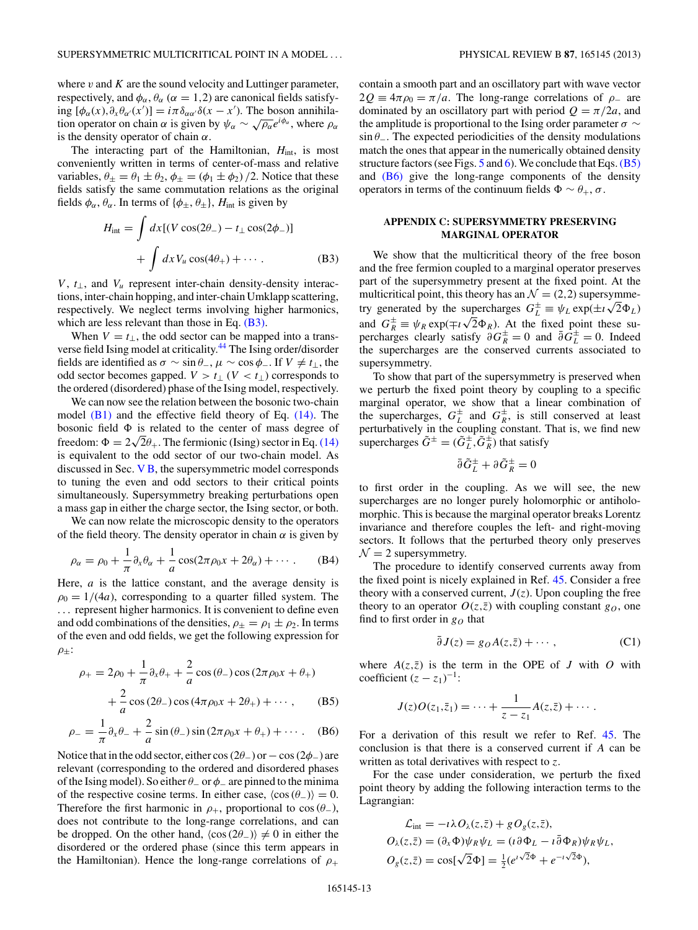<span id="page-13-0"></span>where  $v$  and  $K$  are the sound velocity and Luttinger parameter, respectively, and  $\phi_{\alpha}$ ,  $\theta_{\alpha}$  ( $\alpha = 1,2$ ) are canonical fields satisfying  $[\phi_{\alpha}(x), \partial_{x} \theta_{\alpha}(x')] = i\pi \delta_{\alpha\alpha} \delta(x - x')$ . The boson annihilation operator on chain *α* is given by  $\psi_{\alpha} \sim \sqrt{\rho_{\alpha}} e^{i\phi_{\alpha}}$ , where  $\rho_{\alpha}$ is the density operator of chain *α*.

The interacting part of the Hamiltonian,  $H_{int}$ , is most conveniently written in terms of center-of-mass and relative variables,  $\theta_{\pm} = \theta_1 \pm \theta_2$ ,  $\phi_{\pm} = (\phi_1 \pm \phi_2)/2$ . Notice that these fields satisfy the same commutation relations as the original fields  $\phi_{\alpha}$ ,  $\theta_{\alpha}$ . In terms of  $\{\phi_{\pm}, \theta_{\pm}\}\,$ ,  $H_{\text{int}}$  is given by

$$
H_{\text{int}} = \int dx [(V \cos(2\theta_{-}) - t_{\perp} \cos(2\phi_{-})]
$$

$$
+ \int dx V_u \cos(4\theta_{+}) + \cdots
$$
(B3)

*V*,  $t_{\perp}$ , and  $V_u$  represent inter-chain density-density interactions, inter-chain hopping, and inter-chain Umklapp scattering, respectively. We neglect terms involving higher harmonics, which are less relevant than those in Eq. (B3).

When  $V = t_{\perp}$ , the odd sector can be mapped into a trans-verse field Ising model at criticality.<sup>[44](#page-15-0)</sup> The Ising order/disorder fields are identified as  $\sigma \sim \sin \theta_-, \mu \sim \cos \phi_-.$  If  $V \neq t_\perp$ , the odd sector becomes gapped.  $V > t_{\perp}$  ( $V < t_{\perp}$ ) corresponds to the ordered (disordered) phase of the Ising model, respectively.

We can now see the relation between the bosonic two-chain model  $(B1)$  and the effective field theory of Eq.  $(14)$ . The bosonic field  $\Phi$  is related to the center of mass degree of bosome held  $\Phi$  is related to the center of mass degree of freedom:  $\Phi = 2\sqrt{2\theta_+}$ . The fermionic (Ising) sector in Eq. [\(14\)](#page-4-0) is equivalent to the odd sector of our two-chain model. As discussed in Sec. [V B,](#page-7-0) the supersymmetric model corresponds to tuning the even and odd sectors to their critical points simultaneously. Supersymmetry breaking perturbations open a mass gap in either the charge sector, the Ising sector, or both.

We can now relate the microscopic density to the operators of the field theory. The density operator in chain  $\alpha$  is given by

$$
\rho_{\alpha} = \rho_0 + \frac{1}{\pi} \partial_x \theta_{\alpha} + \frac{1}{a} \cos(2\pi \rho_0 x + 2\theta_{\alpha}) + \cdots
$$
 (B4)

Here, *a* is the lattice constant, and the average density is  $\rho_0 = 1/(4a)$ , corresponding to a quarter filled system. The *...* represent higher harmonics. It is convenient to define even and odd combinations of the densities,  $\rho_{\pm} = \rho_1 \pm \rho_2$ . In terms of the even and odd fields, we get the following expression for *ρ*±:

$$
\rho_{+} = 2\rho_{0} + \frac{1}{\pi}\partial_{x}\theta_{+} + \frac{2}{a}\cos(\theta_{-})\cos(2\pi\rho_{0}x + \theta_{+})
$$

$$
+ \frac{2}{a}\cos(2\theta_{-})\cos(4\pi\rho_{0}x + 2\theta_{+}) + \cdots, \qquad (B5)
$$

$$
\rho_{-} = \frac{1}{\pi} \partial_{x} \theta_{-} + \frac{2}{a} \sin (\theta_{-}) \sin (2\pi \rho_{0} x + \theta_{+}) + \cdots. \quad (B6)
$$

Notice that in the odd sector, either cos(2*θ*−) or− cos(2*φ*−) are relevant (corresponding to the ordered and disordered phases of the Ising model). So either *θ*<sup>−</sup> or *φ*<sup>−</sup> are pinned to the minima of the respective cosine terms. In either case,  $\langle \cos(\theta_+) \rangle = 0$ . Therefore the first harmonic in  $\rho_+$ , proportional to cos( $\theta_-$ ), does not contribute to the long-range correlations, and can be dropped. On the other hand,  $\langle \cos(2\theta_+) \rangle \neq 0$  in either the disordered or the ordered phase (since this term appears in the Hamiltonian). Hence the long-range correlations of  $\rho_+$ 

contain a smooth part and an oscillatory part with wave vector  $2Q \equiv 4\pi \rho_0 = \pi/a$ . The long-range correlations of  $\rho_-$  are dominated by an oscillatory part with period  $Q = \pi/2a$ , and the amplitude is proportional to the Ising order parameter  $\sigma \sim$ sin *θ*−. The expected periodicities of the density modulations match the ones that appear in the numerically obtained density structure factors (see Figs.  $5$  and  $6$ ). We conclude that Eqs. (B5) and (B6) give the long-range components of the density operators in terms of the continuum fields  $\Phi \sim \theta_+$ ,  $\sigma$ .

## **APPENDIX C: SUPERSYMMETRY PRESERVING MARGINAL OPERATOR**

We show that the multicritical theory of the free boson and the free fermion coupled to a marginal operator preserves part of the supersymmetry present at the fixed point. At the multicritical point, this theory has an  $\mathcal{N} = (2, 2)$  supersymmetry generated by the supercharges  $G_L^{\pm} \equiv \psi_L \exp(\pm i \sqrt{2} \Phi_L)$ and  $G_R^{\pm} \equiv \psi_R \exp(\mp i \sqrt{2} \Phi_R)$ . At the fixed point these supercharges clearly satisfy  $\partial G_R^{\pm} = 0$  and  $\bar{\partial} G_L^{\pm} = 0$ . Indeed the supercharges are the conserved currents associated to supersymmetry.

To show that part of the supersymmetry is preserved when we perturb the fixed point theory by coupling to a specific marginal operator, we show that a linear combination of the supercharges,  $G_L^{\pm}$  and  $G_R^{\pm}$ , is still conserved at least perturbatively in the coupling constant. That is, we find new supercharges  $\tilde{G}^{\pm} = (\tilde{G}_L^{\pm}, \tilde{G}_R^{\pm})$  that satisfy

$$
\bar{\partial}\tilde{G}_L^{\pm} + \partial\tilde{G}_R^{\pm} = 0
$$

to first order in the coupling. As we will see, the new supercharges are no longer purely holomorphic or antiholomorphic. This is because the marginal operator breaks Lorentz invariance and therefore couples the left- and right-moving sectors. It follows that the perturbed theory only preserves  $\mathcal{N} = 2$  supersymmetry.

The procedure to identify conserved currents away from the fixed point is nicely explained in Ref. [45.](#page-15-0) Consider a free theory with a conserved current,  $J(z)$ . Upon coupling the free theory to an operator  $O(z,\bar{z})$  with coupling constant  $g<sub>O</sub>$ , one find to first order in  $g<sub>O</sub>$  that

$$
\bar{\partial}J(z) = g_O A(z, \bar{z}) + \cdots, \qquad (C1)
$$

where  $A(z,\bar{z})$  is the term in the OPE of *J* with *O* with coefficient  $(z - z_1)^{-1}$ :

$$
J(z)O(z_1,\bar{z}_1) = \cdots + \frac{1}{z-z_1}A(z,\bar{z}) + \cdots.
$$

For a derivation of this result we refer to Ref. [45.](#page-15-0) The conclusion is that there is a conserved current if *A* can be written as total derivatives with respect to *z*.

For the case under consideration, we perturb the fixed point theory by adding the following interaction terms to the Lagrangian:

$$
\mathcal{L}_{int} = -i\lambda O_{\lambda}(z,\bar{z}) + g O_{g}(z,\bar{z}),
$$
  
\n
$$
O_{\lambda}(z,\bar{z}) = (\partial_{x} \Phi)\psi_{R}\psi_{L} = (i\,\partial \Phi_{L} - i\,\bar{\partial} \Phi_{R})\psi_{R}\psi_{L},
$$
  
\n
$$
O_{g}(z,\bar{z}) = \cos[\sqrt{2}\Phi] = \frac{1}{2}(e^{i\sqrt{2}\Phi} + e^{-i\sqrt{2}\Phi}),
$$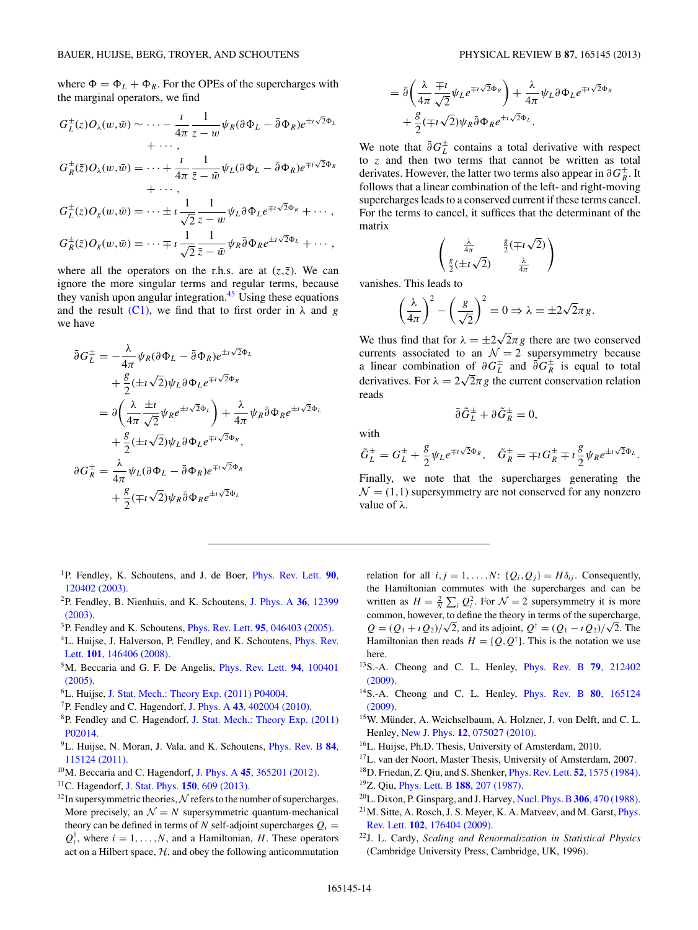<span id="page-14-0"></span>where  $\Phi = \Phi_L + \Phi_R$ . For the OPEs of the supercharges with the marginal operators, we find

$$
G_L^{\pm}(z)O_{\lambda}(w,\bar{w}) \sim \cdots - \frac{\iota}{4\pi} \frac{1}{z-w} \psi_R(\partial \Phi_L - \bar{\partial} \Phi_R) e^{\pm i\sqrt{2}\Phi_L}
$$
  
+  $\cdots$ ,  

$$
G_R^{\pm}(\bar{z})O_{\lambda}(w,\bar{w}) = \cdots + \frac{\iota}{4\pi} \frac{1}{\bar{z}-\bar{w}} \psi_L(\partial \Phi_L - \bar{\partial} \Phi_R) e^{\mp i\sqrt{2}\Phi_R}
$$
  
+  $\cdots$ ,  

$$
G_L^{\pm}(z)O_g(w,\bar{w}) = \cdots \pm i \frac{1}{\sqrt{2}} \frac{1}{z-w} \psi_L \partial \Phi_L e^{\mp i\sqrt{2}\Phi_R} + \cdots,
$$

$$
G_R^{\pm}(\bar{z})O_g(w,\bar{w})=\cdots\mp i\frac{1}{\sqrt{2}}\frac{1}{\bar{z}-\bar{w}}\psi_R\bar{\partial}\Phi_R e^{\pm i\sqrt{2}\Phi_L}+\cdots,
$$

where all the operators on the r.h.s. are at  $(z,\bar{z})$ . We can ignore the more singular terms and regular terms, because they vanish upon angular integration.<sup>[45](#page-15-0)</sup> Using these equations and the result [\(C1\),](#page-13-0) we find that to first order in  $\lambda$  and *g* we have

$$
\bar{\partial}G_{L}^{\pm} = -\frac{\lambda}{4\pi} \psi_{R} (\partial \Phi_{L} - \bar{\partial} \Phi_{R}) e^{\pm i\sqrt{2}\Phi_{L}}
$$
\n
$$
+ \frac{g}{2} (\pm i\sqrt{2}) \psi_{L} \partial \Phi_{L} e^{\mp i\sqrt{2}\Phi_{R}}
$$
\n
$$
= \partial \left( \frac{\lambda}{4\pi} \frac{\pm i}{\sqrt{2}} \psi_{R} e^{\pm i\sqrt{2}\Phi_{L}} \right) + \frac{\lambda}{4\pi} \psi_{R} \bar{\partial} \Phi_{R} e^{\pm i\sqrt{2}\Phi_{L}}
$$
\n
$$
+ \frac{g}{2} (\pm i\sqrt{2}) \psi_{L} \partial \Phi_{L} e^{\mp i\sqrt{2}\Phi_{R}},
$$
\n
$$
\partial G_{R}^{\pm} = \frac{\lambda}{4\pi} \psi_{L} (\partial \Phi_{L} - \bar{\partial} \Phi_{R}) e^{\mp i\sqrt{2}\Phi_{R}}
$$
\n
$$
+ \frac{g}{2} (\mp i\sqrt{2}) \psi_{R} \bar{\partial} \Phi_{R} e^{\pm i\sqrt{2}\Phi_{L}}
$$

$$
= \bar{\partial} \left( \frac{\lambda}{4\pi} \frac{\mp i}{\sqrt{2}} \psi_L e^{\mp i \sqrt{2} \Phi_R} \right) + \frac{\lambda}{4\pi} \psi_L \partial \Phi_L e^{\mp i \sqrt{2} \Phi_R} + \frac{g}{2} (\mp i \sqrt{2}) \psi_R \bar{\partial} \Phi_R e^{\pm i \sqrt{2} \Phi_L}.
$$

We note that  $\bar{\partial} G_L^{\pm}$  contains a total derivative with respect to *z* and then two terms that cannot be written as total derivates. However, the latter two terms also appear in  $\partial G_R^{\pm}$ . It follows that a linear combination of the left- and right-moving supercharges leads to a conserved current if these terms cancel. For the terms to cancel, it suffices that the determinant of the matrix

$$
\begin{pmatrix}\n\frac{\lambda}{4\pi} & \frac{g}{2}(\mp i\sqrt{2}) \\
\frac{g}{2}(\pm i\sqrt{2}) & \frac{\lambda}{4\pi}\n\end{pmatrix}
$$

vanishes. This leads to

$$
\left(\frac{\lambda}{4\pi}\right)^2 - \left(\frac{g}{\sqrt{2}}\right)^2 = 0 \Rightarrow \lambda = \pm 2\sqrt{2}\pi g.
$$

We thus find that for  $\lambda = \pm 2\sqrt{2}\pi g$  there are two conserved currents associated to an  $\mathcal{N} = 2$  supersymmetry because a linear combination of  $\partial G_L^{\pm}$  and  $\bar{\partial} G_R^{\pm}$  is equal to total  $d$  include the combination of  $\partial G_L$  and  $\partial G_R$  is equal to total derivatives. For  $\lambda = 2\sqrt{2}\pi g$  the current conservation relation reads

$$
\bar{\partial}\tilde{G}_L^{\pm} + \partial\tilde{G}_R^{\pm} = 0,
$$

with

$$
\tilde{G}_L^{\pm} = G_L^{\pm} + \frac{g}{2} \psi_L e^{\mp i \sqrt{2} \Phi_R}, \quad \tilde{G}_R^{\pm} = \mp i G_R^{\pm} \mp i \frac{g}{2} \psi_R e^{\pm i \sqrt{2} \Phi_L}.
$$

Finally, we note that the supercharges generating the  $\mathcal{N} = (1,1)$  supersymmetry are not conserved for any nonzero value of *λ*.

- 1P. Fendley, K. Schoutens, and J. de Boer, [Phys. Rev. Lett.](http://dx.doi.org/10.1103/PhysRevLett.90.120402) **90**, [120402 \(2003\).](http://dx.doi.org/10.1103/PhysRevLett.90.120402)
- 2P. Fendley, B. Nienhuis, and K. Schoutens, [J. Phys. A](http://dx.doi.org/10.1088/0305-4470/36/50/004) **36**, 12399 [\(2003\).](http://dx.doi.org/10.1088/0305-4470/36/50/004)
- 3P. Fendley and K. Schoutens, Phys. Rev. Lett. **95**[, 046403 \(2005\).](http://dx.doi.org/10.1103/PhysRevLett.95.046403)
- <sup>4</sup>L. Huijse, J. Halverson, P. Fendley, and K. Schoutens, *[Phys. Rev.](http://dx.doi.org/10.1103/PhysRevLett.101.146406)* Lett. **101**[, 146406 \(2008\).](http://dx.doi.org/10.1103/PhysRevLett.101.146406)
- 5M. Beccaria and G. F. De Angelis, [Phys. Rev. Lett.](http://dx.doi.org/10.1103/PhysRevLett.94.100401) **94**, 100401 [\(2005\).](http://dx.doi.org/10.1103/PhysRevLett.94.100401)
- 6L. Huijse, [J. Stat. Mech.: Theory Exp. \(2011\) P04004.](http://dx.doi.org/10.1088/1742-5468/2011/04/P04004)
- 7P. Fendley and C. Hagendorf, J. Phys. A **43**[, 402004 \(2010\).](http://dx.doi.org/10.1088/1751-8113/43/40/402004)
- 8P. Fendley and C. Hagendorf, [J. Stat. Mech.: Theory Exp. \(2011\)](http://dx.doi.org/10.1088/1742-5468/2011/02/P02014) [P02014.](http://dx.doi.org/10.1088/1742-5468/2011/02/P02014)
- 9L. Huijse, N. Moran, J. Vala, and K. Schoutens, [Phys. Rev. B](http://dx.doi.org/10.1103/PhysRevB.84.115124) **84**, [115124 \(2011\).](http://dx.doi.org/10.1103/PhysRevB.84.115124)
- 10M. Beccaria and C. Hagendorf, J. Phys. A **45**[, 365201 \(2012\).](http://dx.doi.org/10.1088/1751-8113/45/36/365201)
- 11C. Hagendorf, J. Stat. Phys. **150**[, 609 \(2013\).](http://dx.doi.org/10.1007/s10955-013-0709-9)
- $12$ In supersymmetric theories,  $N$  refers to the number of supercharges. More precisely, an  $\mathcal{N} = N$  supersymmetric quantum-mechanical theory can be defined in terms of *N* self-adjoint supercharges  $Q_i$  =  $Q_i^{\dagger}$ , where  $i = 1, \ldots, N$ , and a Hamiltonian, *H*. These operators act on a Hilbert space,  $H$ , and obey the following anticommutation

relation for all  $i, j = 1, ..., N$ :  $\{Q_i, Q_j\} = H\delta_{ij}$ . Consequently, the Hamiltonian commutes with the supercharges and can be written as  $H = \frac{2}{N} \sum_i Q_i^2$ . For  $\mathcal{N} = 2$  supersymmetry it is more common, however, to define the theory in terms of the supercharge, *Q* =  $(Q_1 + iQ_2)/\sqrt{2}$ , and its adjoint,  $Q^{\dagger} = (Q_1 - iQ_2)/\sqrt{2}$ . The Hamiltonian then reads  $H = \{Q, Q^{\dagger}\}\$ . This is the notation we use here.

- 13S.-A. Cheong and C. L. Henley, [Phys. Rev. B](http://dx.doi.org/10.1103/PhysRevB.79.212402) **79**, 212402 [\(2009\).](http://dx.doi.org/10.1103/PhysRevB.79.212402)
- 14S.-A. Cheong and C. L. Henley, [Phys. Rev. B](http://dx.doi.org/10.1103/PhysRevB.80.165124) **80**, 165124 [\(2009\).](http://dx.doi.org/10.1103/PhysRevB.80.165124)
- <sup>15</sup>W. Münder, A. Weichselbaum, A. Holzner, J. von Delft, and C. L. Henley, New J. Phys. **12**[, 075027 \(2010\).](http://dx.doi.org/10.1088/1367-2630/12/7/075027)
- 16L. Huijse, Ph.D. Thesis, University of Amsterdam, 2010.
- 17L. van der Noort, Master Thesis, University of Amsterdam, 2007.
- 18D. Friedan, Z. Qiu, and S. Shenker, [Phys. Rev. Lett.](http://dx.doi.org/10.1103/PhysRevLett.52.1575) **52**, 1575 (1984). 19Z. Qiu, [Phys. Lett. B](http://dx.doi.org/10.1016/0370-2693(87)90008-6) **188**, 207 (1987).
- 20L. Dixon, P. Ginsparg, and J. Harvey, [Nucl. Phys. B](http://dx.doi.org/10.1016/0550-3213(88)90011-9)**306**, 470 (1988).
- $21$ M. Sitte, A. Rosch, J. S. Meyer, K. A. Matveev, and M. Garst, *[Phys.](http://dx.doi.org/10.1103/PhysRevLett.102.176404)* Rev. Lett. **102**[, 176404 \(2009\).](http://dx.doi.org/10.1103/PhysRevLett.102.176404)
- 22J. L. Cardy, *Scaling and Renormalization in Statistical Physics* (Cambridge University Press, Cambridge, UK, 1996).